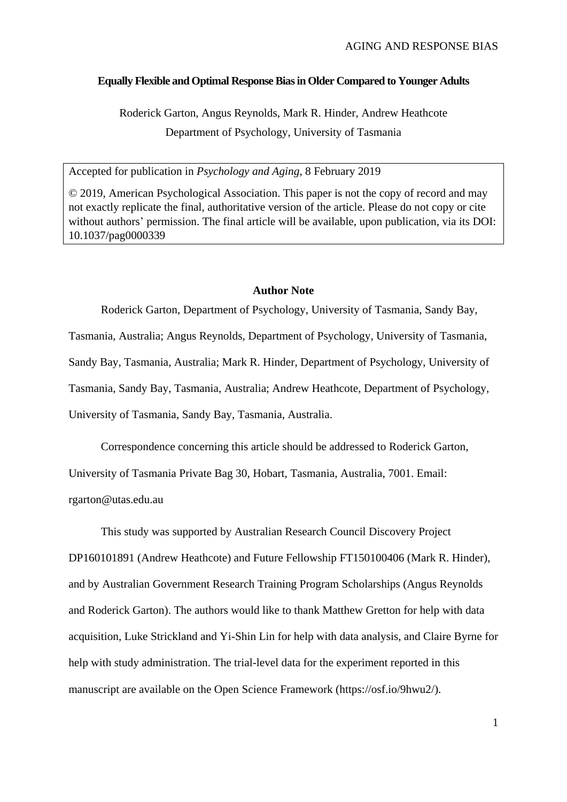# **Equally Flexible and Optimal Response Bias in Older Compared to Younger Adults**

Roderick Garton, Angus Reynolds, Mark R. Hinder, Andrew Heathcote Department of Psychology, University of Tasmania

Accepted for publication in *Psychology and Aging*, 8 February 2019

© 2019, American Psychological Association. This paper is not the copy of record and may not exactly replicate the final, authoritative version of the article. Please do not copy or cite without authors' permission. The final article will be available, upon publication, via its DOI: 10.1037/pag0000339

### **Author Note**

Roderick Garton, Department of Psychology, University of Tasmania, Sandy Bay, Tasmania, Australia; Angus Reynolds, Department of Psychology, University of Tasmania, Sandy Bay, Tasmania, Australia; Mark R. Hinder, Department of Psychology, University of Tasmania, Sandy Bay, Tasmania, Australia; Andrew Heathcote, Department of Psychology, University of Tasmania, Sandy Bay, Tasmania, Australia.

Correspondence concerning this article should be addressed to Roderick Garton,

University of Tasmania Private Bag 30, Hobart, Tasmania, Australia, 7001. Email:

rgarton@utas.edu.au

This study was supported by Australian Research Council Discovery Project DP160101891 (Andrew Heathcote) and Future Fellowship FT150100406 (Mark R. Hinder), and by Australian Government Research Training Program Scholarships (Angus Reynolds and Roderick Garton). The authors would like to thank Matthew Gretton for help with data acquisition, Luke Strickland and Yi-Shin Lin for help with data analysis, and Claire Byrne for help with study administration. The trial-level data for the experiment reported in this manuscript are available on the Open Science Framework (https://osf.io/9hwu2/).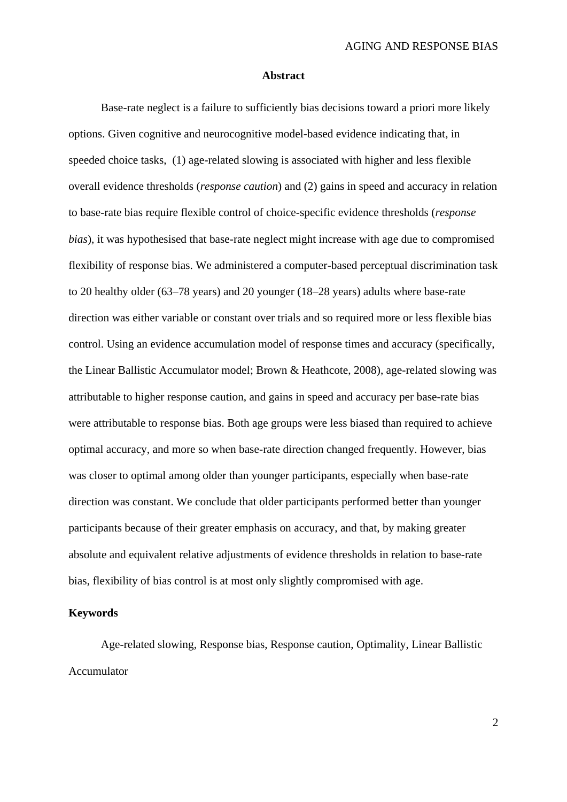#### **Abstract**

Base-rate neglect is a failure to sufficiently bias decisions toward a priori more likely options. Given cognitive and neurocognitive model-based evidence indicating that, in speeded choice tasks, (1) age-related slowing is associated with higher and less flexible overall evidence thresholds (*response caution*) and (2) gains in speed and accuracy in relation to base-rate bias require flexible control of choice-specific evidence thresholds (*response bias*), it was hypothesised that base-rate neglect might increase with age due to compromised flexibility of response bias. We administered a computer-based perceptual discrimination task to 20 healthy older (63–78 years) and 20 younger (18–28 years) adults where base-rate direction was either variable or constant over trials and so required more or less flexible bias control. Using an evidence accumulation model of response times and accuracy (specifically, the Linear Ballistic Accumulator model; Brown & Heathcote, 2008), age-related slowing was attributable to higher response caution, and gains in speed and accuracy per base-rate bias were attributable to response bias. Both age groups were less biased than required to achieve optimal accuracy, and more so when base-rate direction changed frequently. However, bias was closer to optimal among older than younger participants, especially when base-rate direction was constant. We conclude that older participants performed better than younger participants because of their greater emphasis on accuracy, and that, by making greater absolute and equivalent relative adjustments of evidence thresholds in relation to base-rate bias, flexibility of bias control is at most only slightly compromised with age.

## **Keywords**

Age-related slowing, Response bias, Response caution, Optimality, Linear Ballistic Accumulator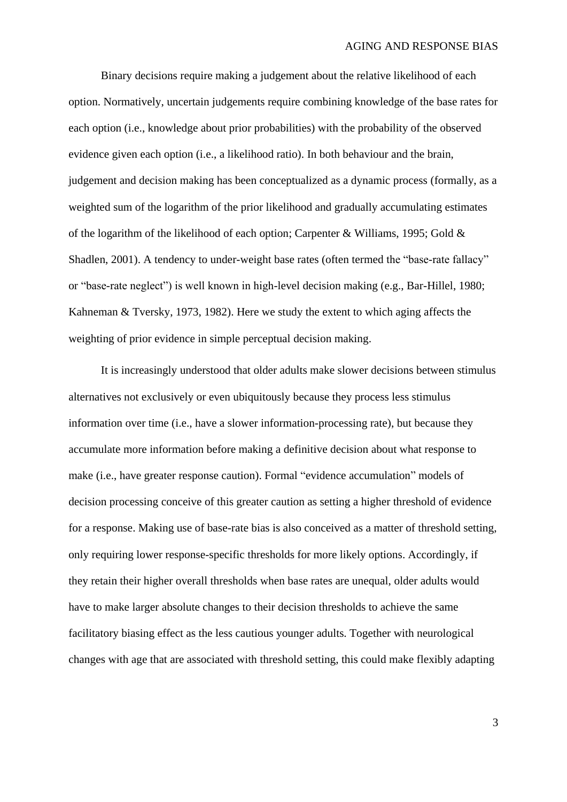Binary decisions require making a judgement about the relative likelihood of each option. Normatively, uncertain judgements require combining knowledge of the base rates for each option (i.e., knowledge about prior probabilities) with the probability of the observed evidence given each option (i.e., a likelihood ratio). In both behaviour and the brain, judgement and decision making has been conceptualized as a dynamic process (formally, as a weighted sum of the logarithm of the prior likelihood and gradually accumulating estimates of the logarithm of the likelihood of each option; Carpenter & Williams, 1995; Gold & Shadlen, 2001). A tendency to under-weight base rates (often termed the "base-rate fallacy" or "base-rate neglect") is well known in high-level decision making (e.g., Bar-Hillel, 1980; Kahneman & Tversky, 1973, 1982). Here we study the extent to which aging affects the weighting of prior evidence in simple perceptual decision making.

It is increasingly understood that older adults make slower decisions between stimulus alternatives not exclusively or even ubiquitously because they process less stimulus information over time (i.e., have a slower information-processing rate), but because they accumulate more information before making a definitive decision about what response to make (i.e., have greater response caution). Formal "evidence accumulation" models of decision processing conceive of this greater caution as setting a higher threshold of evidence for a response. Making use of base-rate bias is also conceived as a matter of threshold setting, only requiring lower response-specific thresholds for more likely options. Accordingly, if they retain their higher overall thresholds when base rates are unequal, older adults would have to make larger absolute changes to their decision thresholds to achieve the same facilitatory biasing effect as the less cautious younger adults. Together with neurological changes with age that are associated with threshold setting, this could make flexibly adapting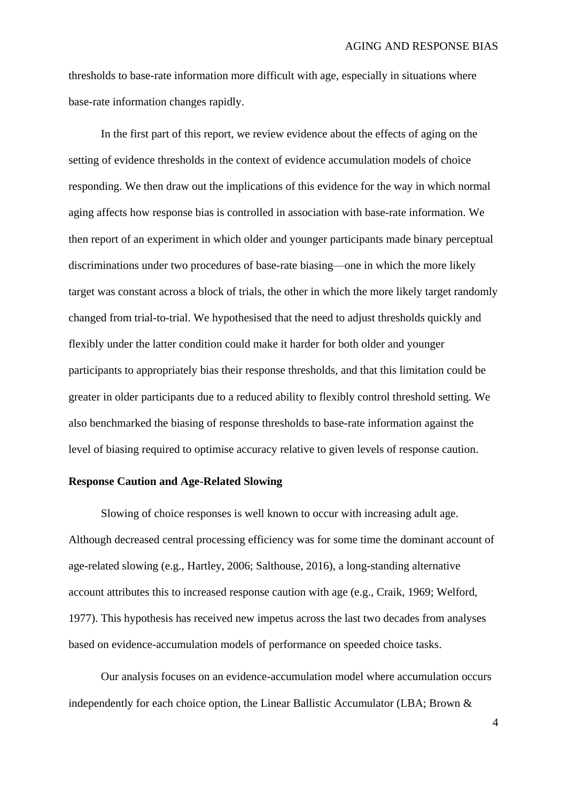thresholds to base-rate information more difficult with age, especially in situations where base-rate information changes rapidly.

In the first part of this report, we review evidence about the effects of aging on the setting of evidence thresholds in the context of evidence accumulation models of choice responding. We then draw out the implications of this evidence for the way in which normal aging affects how response bias is controlled in association with base-rate information. We then report of an experiment in which older and younger participants made binary perceptual discriminations under two procedures of base-rate biasing—one in which the more likely target was constant across a block of trials, the other in which the more likely target randomly changed from trial-to-trial. We hypothesised that the need to adjust thresholds quickly and flexibly under the latter condition could make it harder for both older and younger participants to appropriately bias their response thresholds, and that this limitation could be greater in older participants due to a reduced ability to flexibly control threshold setting. We also benchmarked the biasing of response thresholds to base-rate information against the level of biasing required to optimise accuracy relative to given levels of response caution.

## **Response Caution and Age-Related Slowing**

Slowing of choice responses is well known to occur with increasing adult age. Although decreased central processing efficiency was for some time the dominant account of age-related slowing (e.g., Hartley, 2006; Salthouse, 2016), a long-standing alternative account attributes this to increased response caution with age (e.g., Craik, 1969; Welford, 1977). This hypothesis has received new impetus across the last two decades from analyses based on evidence-accumulation models of performance on speeded choice tasks.

Our analysis focuses on an evidence-accumulation model where accumulation occurs independently for each choice option, the Linear Ballistic Accumulator (LBA; Brown &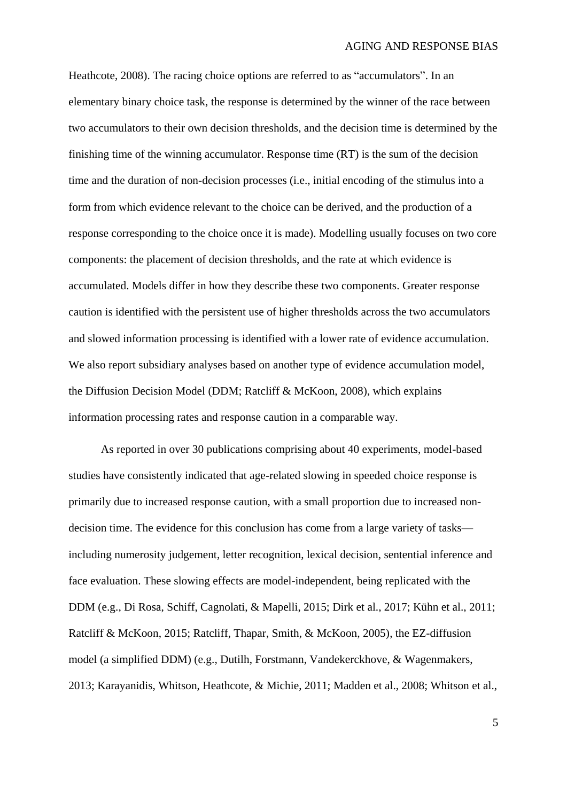Heathcote, 2008). The racing choice options are referred to as "accumulators". In an elementary binary choice task, the response is determined by the winner of the race between two accumulators to their own decision thresholds, and the decision time is determined by the finishing time of the winning accumulator. Response time (RT) is the sum of the decision time and the duration of non-decision processes (i.e., initial encoding of the stimulus into a form from which evidence relevant to the choice can be derived, and the production of a response corresponding to the choice once it is made). Modelling usually focuses on two core components: the placement of decision thresholds, and the rate at which evidence is accumulated. Models differ in how they describe these two components. Greater response caution is identified with the persistent use of higher thresholds across the two accumulators and slowed information processing is identified with a lower rate of evidence accumulation. We also report subsidiary analyses based on another type of evidence accumulation model, the Diffusion Decision Model (DDM; Ratcliff & McKoon, 2008), which explains information processing rates and response caution in a comparable way.

As reported in over 30 publications comprising about 40 experiments, model-based studies have consistently indicated that age-related slowing in speeded choice response is primarily due to increased response caution, with a small proportion due to increased nondecision time. The evidence for this conclusion has come from a large variety of tasks including numerosity judgement, letter recognition, lexical decision, sentential inference and face evaluation. These slowing effects are model-independent, being replicated with the DDM (e.g., Di Rosa, Schiff, Cagnolati, & Mapelli, 2015; Dirk et al., 2017; Kühn et al., 2011; Ratcliff & McKoon, 2015; Ratcliff, Thapar, Smith, & McKoon, 2005), the EZ-diffusion model (a simplified DDM) (e.g., Dutilh, Forstmann, Vandekerckhove, & Wagenmakers, 2013; Karayanidis, Whitson, Heathcote, & Michie, 2011; Madden et al., 2008; Whitson et al.,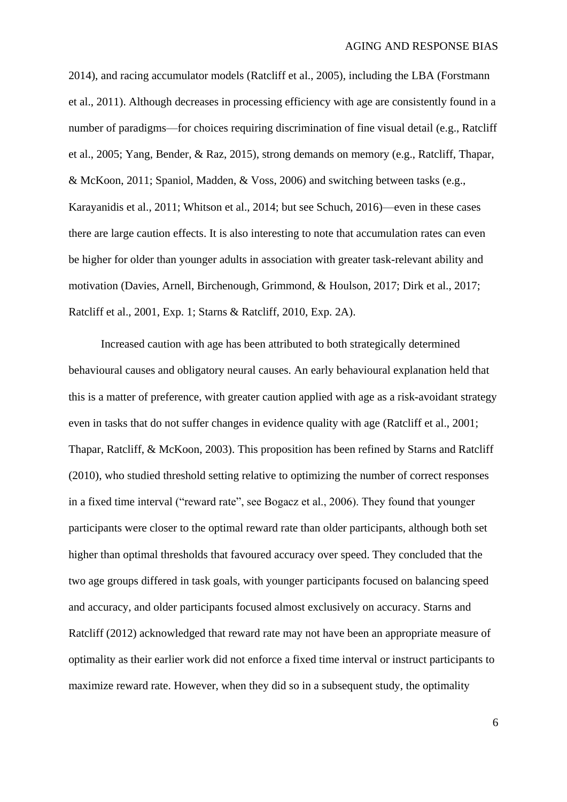2014), and racing accumulator models (Ratcliff et al., 2005), including the LBA (Forstmann et al., 2011). Although decreases in processing efficiency with age are consistently found in a number of paradigms—for choices requiring discrimination of fine visual detail (e.g., Ratcliff et al., 2005; Yang, Bender, & Raz, 2015), strong demands on memory (e.g., Ratcliff, Thapar, & McKoon, 2011; Spaniol, Madden, & Voss, 2006) and switching between tasks (e.g., Karayanidis et al., 2011; Whitson et al., 2014; but see Schuch, 2016)—even in these cases there are large caution effects. It is also interesting to note that accumulation rates can even be higher for older than younger adults in association with greater task-relevant ability and motivation (Davies, Arnell, Birchenough, Grimmond, & Houlson, 2017; Dirk et al., 2017; Ratcliff et al., 2001, Exp. 1; Starns & Ratcliff, 2010, Exp. 2A).

Increased caution with age has been attributed to both strategically determined behavioural causes and obligatory neural causes. An early behavioural explanation held that this is a matter of preference, with greater caution applied with age as a risk-avoidant strategy even in tasks that do not suffer changes in evidence quality with age (Ratcliff et al., 2001; Thapar, Ratcliff, & McKoon, 2003). This proposition has been refined by Starns and Ratcliff (2010), who studied threshold setting relative to optimizing the number of correct responses in a fixed time interval ("reward rate", see Bogacz et al., 2006). They found that younger participants were closer to the optimal reward rate than older participants, although both set higher than optimal thresholds that favoured accuracy over speed. They concluded that the two age groups differed in task goals, with younger participants focused on balancing speed and accuracy, and older participants focused almost exclusively on accuracy. Starns and Ratcliff (2012) acknowledged that reward rate may not have been an appropriate measure of optimality as their earlier work did not enforce a fixed time interval or instruct participants to maximize reward rate. However, when they did so in a subsequent study, the optimality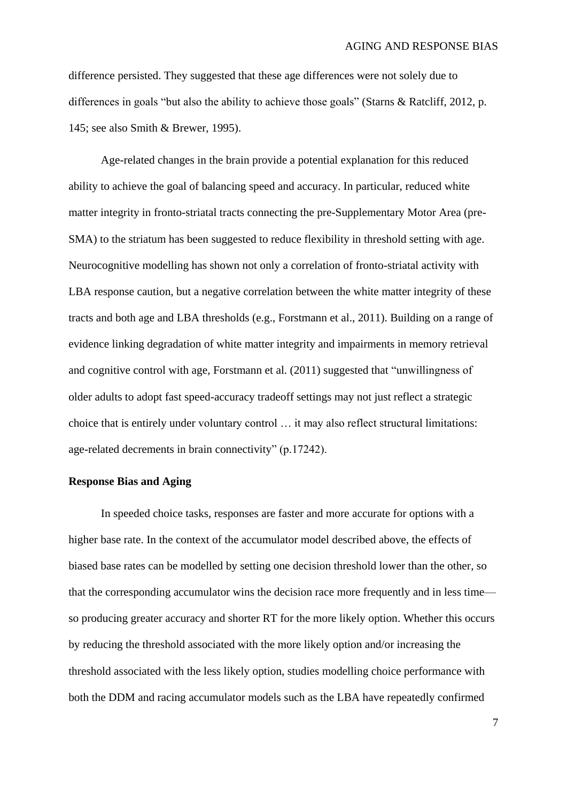difference persisted. They suggested that these age differences were not solely due to differences in goals "but also the ability to achieve those goals" (Starns & Ratcliff, 2012, p. 145; see also Smith & Brewer, 1995).

Age-related changes in the brain provide a potential explanation for this reduced ability to achieve the goal of balancing speed and accuracy. In particular, reduced white matter integrity in fronto-striatal tracts connecting the pre-Supplementary Motor Area (pre-SMA) to the striatum has been suggested to reduce flexibility in threshold setting with age. Neurocognitive modelling has shown not only a correlation of fronto-striatal activity with LBA response caution, but a negative correlation between the white matter integrity of these tracts and both age and LBA thresholds (e.g., Forstmann et al., 2011). Building on a range of evidence linking degradation of white matter integrity and impairments in memory retrieval and cognitive control with age, Forstmann et al. (2011) suggested that "unwillingness of older adults to adopt fast speed-accuracy tradeoff settings may not just reflect a strategic choice that is entirely under voluntary control … it may also reflect structural limitations: age-related decrements in brain connectivity" (p.17242).

#### **Response Bias and Aging**

In speeded choice tasks, responses are faster and more accurate for options with a higher base rate. In the context of the accumulator model described above, the effects of biased base rates can be modelled by setting one decision threshold lower than the other, so that the corresponding accumulator wins the decision race more frequently and in less time so producing greater accuracy and shorter RT for the more likely option. Whether this occurs by reducing the threshold associated with the more likely option and/or increasing the threshold associated with the less likely option, studies modelling choice performance with both the DDM and racing accumulator models such as the LBA have repeatedly confirmed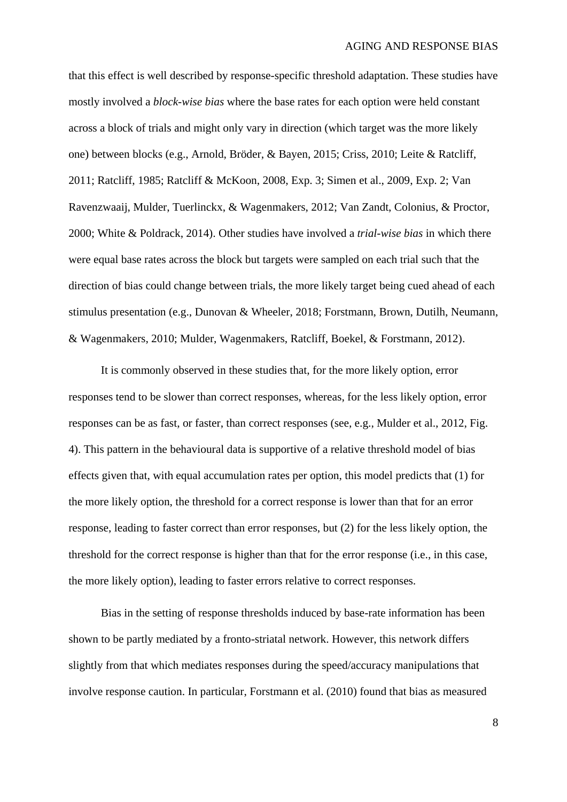that this effect is well described by response-specific threshold adaptation. These studies have mostly involved a *block-wise bias* where the base rates for each option were held constant across a block of trials and might only vary in direction (which target was the more likely one) between blocks (e.g., Arnold, Bröder, & Bayen, 2015; Criss, 2010; Leite & Ratcliff, 2011; Ratcliff, 1985; Ratcliff & McKoon, 2008, Exp. 3; Simen et al., 2009, Exp. 2; Van Ravenzwaaij, Mulder, Tuerlinckx, & Wagenmakers, 2012; Van Zandt, Colonius, & Proctor, 2000; White & Poldrack, 2014). Other studies have involved a *trial-wise bias* in which there were equal base rates across the block but targets were sampled on each trial such that the direction of bias could change between trials, the more likely target being cued ahead of each stimulus presentation (e.g., Dunovan & Wheeler, 2018; Forstmann, Brown, Dutilh, Neumann, & Wagenmakers, 2010; Mulder, Wagenmakers, Ratcliff, Boekel, & Forstmann, 2012).

It is commonly observed in these studies that, for the more likely option, error responses tend to be slower than correct responses, whereas, for the less likely option, error responses can be as fast, or faster, than correct responses (see, e.g., Mulder et al., 2012, Fig. 4). This pattern in the behavioural data is supportive of a relative threshold model of bias effects given that, with equal accumulation rates per option, this model predicts that (1) for the more likely option, the threshold for a correct response is lower than that for an error response, leading to faster correct than error responses, but (2) for the less likely option, the threshold for the correct response is higher than that for the error response (i.e., in this case, the more likely option), leading to faster errors relative to correct responses.

Bias in the setting of response thresholds induced by base-rate information has been shown to be partly mediated by a fronto-striatal network. However, this network differs slightly from that which mediates responses during the speed/accuracy manipulations that involve response caution. In particular, Forstmann et al. (2010) found that bias as measured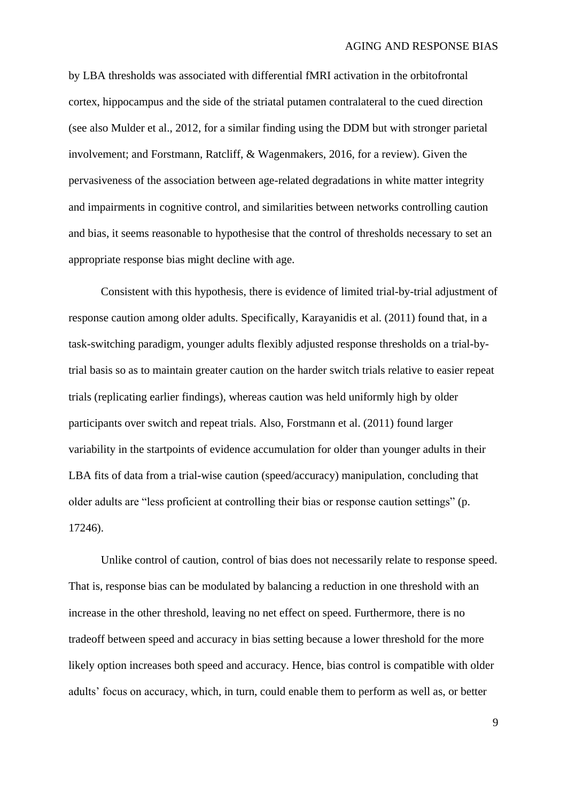by LBA thresholds was associated with differential fMRI activation in the orbitofrontal cortex, hippocampus and the side of the striatal putamen contralateral to the cued direction (see also Mulder et al., 2012, for a similar finding using the DDM but with stronger parietal involvement; and Forstmann, Ratcliff, & Wagenmakers, 2016, for a review). Given the pervasiveness of the association between age-related degradations in white matter integrity and impairments in cognitive control, and similarities between networks controlling caution and bias, it seems reasonable to hypothesise that the control of thresholds necessary to set an appropriate response bias might decline with age.

Consistent with this hypothesis, there is evidence of limited trial-by-trial adjustment of response caution among older adults. Specifically, Karayanidis et al. (2011) found that, in a task-switching paradigm, younger adults flexibly adjusted response thresholds on a trial-bytrial basis so as to maintain greater caution on the harder switch trials relative to easier repeat trials (replicating earlier findings), whereas caution was held uniformly high by older participants over switch and repeat trials. Also, Forstmann et al. (2011) found larger variability in the startpoints of evidence accumulation for older than younger adults in their LBA fits of data from a trial-wise caution (speed/accuracy) manipulation, concluding that older adults are "less proficient at controlling their bias or response caution settings" (p. 17246).

Unlike control of caution, control of bias does not necessarily relate to response speed. That is, response bias can be modulated by balancing a reduction in one threshold with an increase in the other threshold, leaving no net effect on speed. Furthermore, there is no tradeoff between speed and accuracy in bias setting because a lower threshold for the more likely option increases both speed and accuracy. Hence, bias control is compatible with older adults' focus on accuracy, which, in turn, could enable them to perform as well as, or better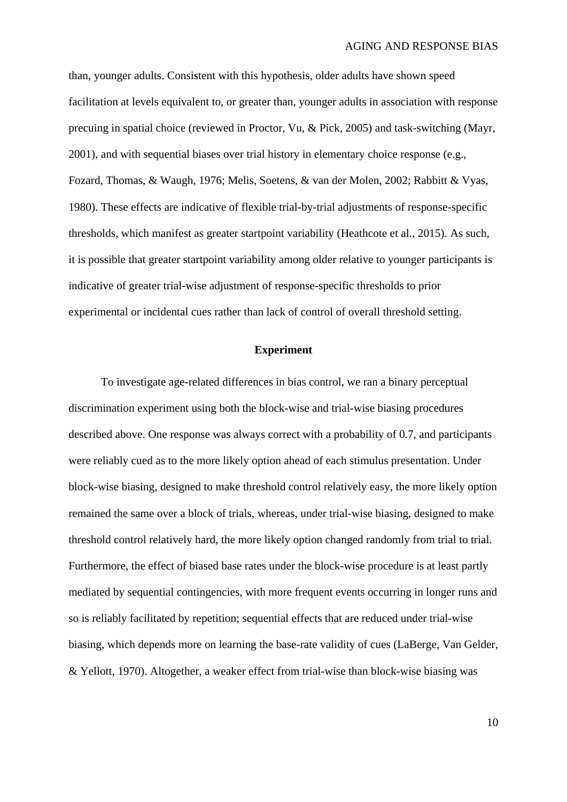than, younger adults. Consistent with this hypothesis, older adults have shown speed facilitation at levels equivalent to, or greater than, younger adults in association with response precuing in spatial choice (reviewed in Proctor, Vu, & Pick, 2005) and task-switching (Mayr, 2001), and with sequential biases over trial history in elementary choice response (e.g., Fozard, Thomas, & Waugh, 1976; Melis, Soetens, & van der Molen, 2002; Rabbitt & Vyas, 1980). These effects are indicative of flexible trial-by-trial adjustments of response-specific thresholds, which manifest as greater startpoint variability (Heathcote et al., 2015). As such, it is possible that greater startpoint variability among older relative to younger participants is indicative of greater trial-wise adjustment of response-specific thresholds to prior experimental or incidental cues rather than lack of control of overall threshold setting.

## **Experiment**

To investigate age-related differences in bias control, we ran a binary perceptual discrimination experiment using both the block-wise and trial-wise biasing procedures described above. One response was always correct with a probability of 0.7, and participants were reliably cued as to the more likely option ahead of each stimulus presentation. Under block-wise biasing, designed to make threshold control relatively easy, the more likely option remained the same over a block of trials, whereas, under trial-wise biasing, designed to make threshold control relatively hard, the more likely option changed randomly from trial to trial. Furthermore, the effect of biased base rates under the block-wise procedure is at least partly mediated by sequential contingencies, with more frequent events occurring in longer runs and so is reliably facilitated by repetition; sequential effects that are reduced under trial-wise biasing, which depends more on learning the base-rate validity of cues (LaBerge, Van Gelder, & Yellott, 1970). Altogether, a weaker effect from trial-wise than block-wise biasing was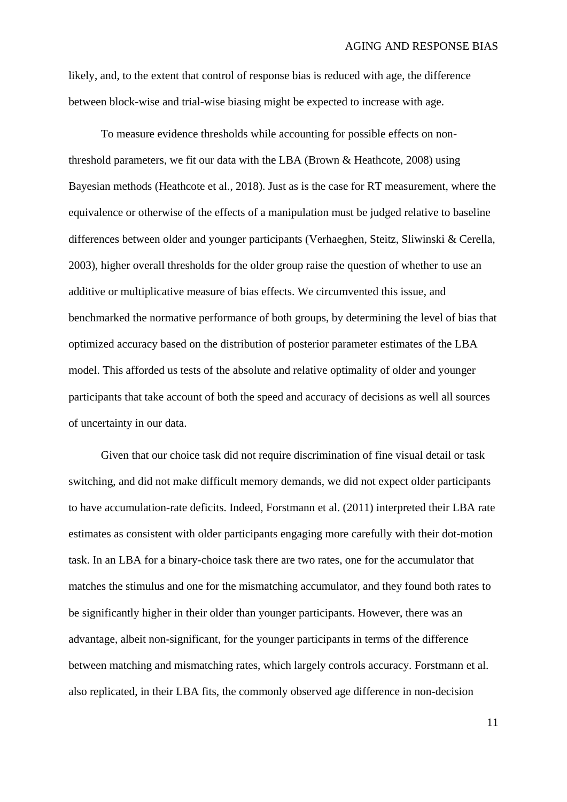likely, and, to the extent that control of response bias is reduced with age, the difference between block-wise and trial-wise biasing might be expected to increase with age.

To measure evidence thresholds while accounting for possible effects on nonthreshold parameters, we fit our data with the LBA (Brown & Heathcote, 2008) using Bayesian methods (Heathcote et al., 2018). Just as is the case for RT measurement, where the equivalence or otherwise of the effects of a manipulation must be judged relative to baseline differences between older and younger participants (Verhaeghen, Steitz, Sliwinski & Cerella, 2003), higher overall thresholds for the older group raise the question of whether to use an additive or multiplicative measure of bias effects. We circumvented this issue, and benchmarked the normative performance of both groups, by determining the level of bias that optimized accuracy based on the distribution of posterior parameter estimates of the LBA model. This afforded us tests of the absolute and relative optimality of older and younger participants that take account of both the speed and accuracy of decisions as well all sources of uncertainty in our data.

Given that our choice task did not require discrimination of fine visual detail or task switching, and did not make difficult memory demands, we did not expect older participants to have accumulation-rate deficits. Indeed, Forstmann et al. (2011) interpreted their LBA rate estimates as consistent with older participants engaging more carefully with their dot-motion task. In an LBA for a binary-choice task there are two rates, one for the accumulator that matches the stimulus and one for the mismatching accumulator, and they found both rates to be significantly higher in their older than younger participants. However, there was an advantage, albeit non-significant, for the younger participants in terms of the difference between matching and mismatching rates, which largely controls accuracy. Forstmann et al. also replicated, in their LBA fits, the commonly observed age difference in non-decision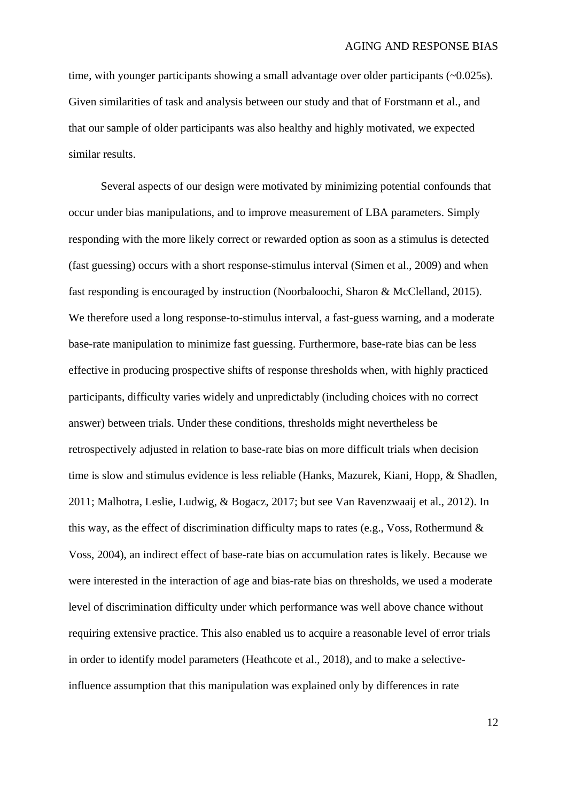time, with younger participants showing a small advantage over older participants (~0.025s). Given similarities of task and analysis between our study and that of Forstmann et al., and that our sample of older participants was also healthy and highly motivated, we expected similar results.

Several aspects of our design were motivated by minimizing potential confounds that occur under bias manipulations, and to improve measurement of LBA parameters. Simply responding with the more likely correct or rewarded option as soon as a stimulus is detected (fast guessing) occurs with a short response-stimulus interval (Simen et al., 2009) and when fast responding is encouraged by instruction (Noorbaloochi, Sharon & McClelland, 2015). We therefore used a long response-to-stimulus interval, a fast-guess warning, and a moderate base-rate manipulation to minimize fast guessing. Furthermore, base-rate bias can be less effective in producing prospective shifts of response thresholds when, with highly practiced participants, difficulty varies widely and unpredictably (including choices with no correct answer) between trials. Under these conditions, thresholds might nevertheless be retrospectively adjusted in relation to base-rate bias on more difficult trials when decision time is slow and stimulus evidence is less reliable (Hanks, Mazurek, Kiani, Hopp, & Shadlen, 2011; Malhotra, Leslie, Ludwig, & Bogacz, 2017; but see Van Ravenzwaaij et al., 2012). In this way, as the effect of discrimination difficulty maps to rates (e.g., Voss, Rothermund & Voss, 2004), an indirect effect of base-rate bias on accumulation rates is likely. Because we were interested in the interaction of age and bias-rate bias on thresholds, we used a moderate level of discrimination difficulty under which performance was well above chance without requiring extensive practice. This also enabled us to acquire a reasonable level of error trials in order to identify model parameters (Heathcote et al., 2018), and to make a selectiveinfluence assumption that this manipulation was explained only by differences in rate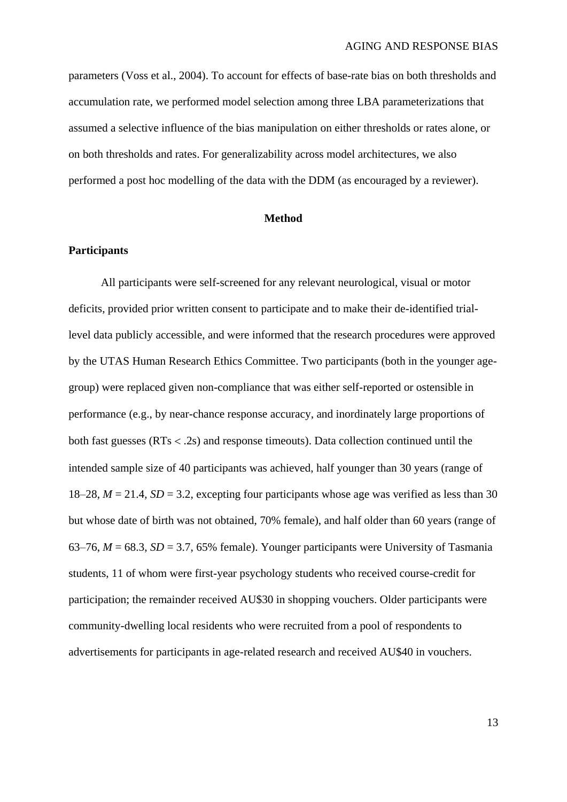parameters (Voss et al., 2004). To account for effects of base-rate bias on both thresholds and accumulation rate, we performed model selection among three LBA parameterizations that assumed a selective influence of the bias manipulation on either thresholds or rates alone, or on both thresholds and rates. For generalizability across model architectures, we also performed a post hoc modelling of the data with the DDM (as encouraged by a reviewer).

#### **Method**

#### **Participants**

All participants were self-screened for any relevant neurological, visual or motor deficits, provided prior written consent to participate and to make their de-identified triallevel data publicly accessible, and were informed that the research procedures were approved by the UTAS Human Research Ethics Committee. Two participants (both in the younger agegroup) were replaced given non-compliance that was either self-reported or ostensible in performance (e.g., by near-chance response accuracy, and inordinately large proportions of both fast guesses ( $RTs < .2s$ ) and response timeouts). Data collection continued until the intended sample size of 40 participants was achieved, half younger than 30 years (range of 18–28,  $M = 21.4$ ,  $SD = 3.2$ , excepting four participants whose age was verified as less than 30 but whose date of birth was not obtained, 70% female), and half older than 60 years (range of 63–76,  $M = 68.3$ ,  $SD = 3.7$ , 65% female). Younger participants were University of Tasmania students, 11 of whom were first-year psychology students who received course-credit for participation; the remainder received AU\$30 in shopping vouchers. Older participants were community-dwelling local residents who were recruited from a pool of respondents to advertisements for participants in age-related research and received AU\$40 in vouchers.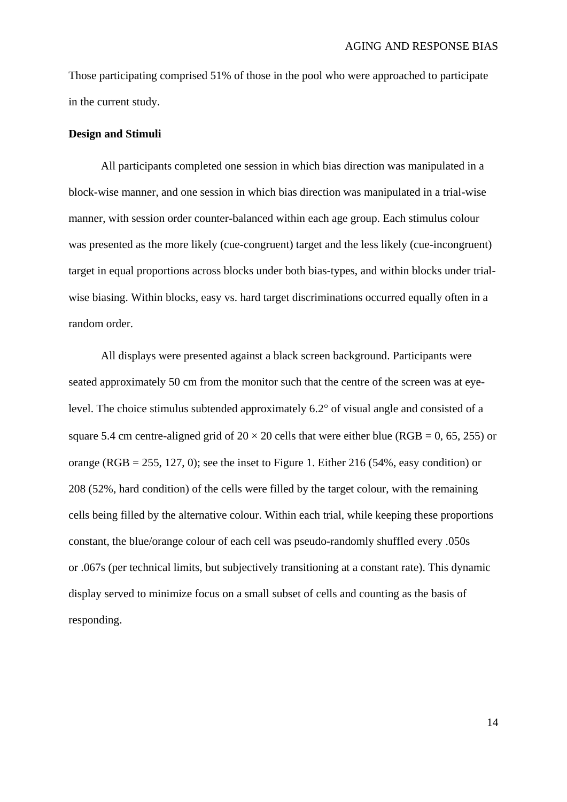Those participating comprised 51% of those in the pool who were approached to participate in the current study.

#### **Design and Stimuli**

All participants completed one session in which bias direction was manipulated in a block-wise manner, and one session in which bias direction was manipulated in a trial-wise manner, with session order counter-balanced within each age group. Each stimulus colour was presented as the more likely (cue-congruent) target and the less likely (cue-incongruent) target in equal proportions across blocks under both bias-types, and within blocks under trialwise biasing. Within blocks, easy vs. hard target discriminations occurred equally often in a random order.

All displays were presented against a black screen background. Participants were seated approximately 50 cm from the monitor such that the centre of the screen was at eyelevel. The choice stimulus subtended approximately  $6.2^{\circ}$  of visual angle and consisted of a square 5.4 cm centre-aligned grid of  $20 \times 20$  cells that were either blue (RGB = 0, 65, 255) or orange (RGB = 255, 127, 0); see the inset to [Figure 1.](#page-14-0) Either 216 (54%, easy condition) or 208 (52%, hard condition) of the cells were filled by the target colour, with the remaining cells being filled by the alternative colour. Within each trial, while keeping these proportions constant, the blue/orange colour of each cell was pseudo-randomly shuffled every .050s or .067s (per technical limits, but subjectively transitioning at a constant rate). This dynamic display served to minimize focus on a small subset of cells and counting as the basis of responding.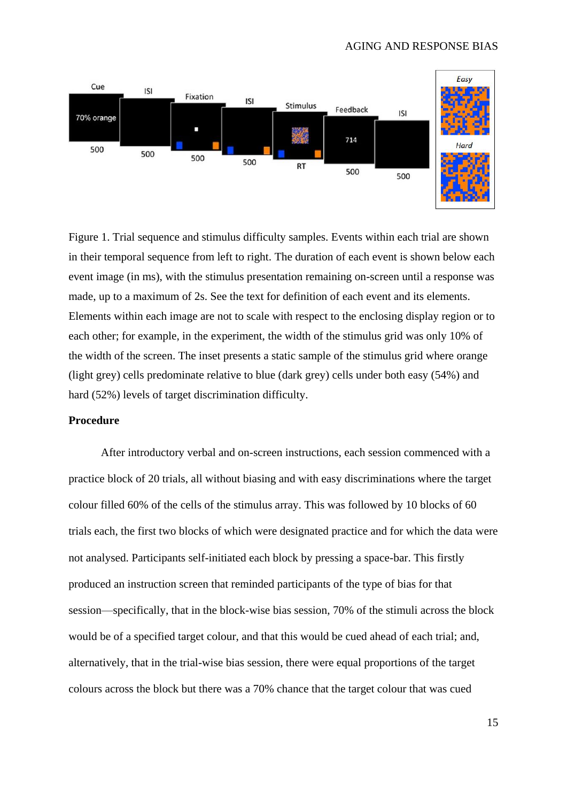

<span id="page-14-0"></span>Figure 1. Trial sequence and stimulus difficulty samples. Events within each trial are shown in their temporal sequence from left to right. The duration of each event is shown below each event image (in ms), with the stimulus presentation remaining on-screen until a response was made, up to a maximum of 2s. See the text for definition of each event and its elements. Elements within each image are not to scale with respect to the enclosing display region or to each other; for example, in the experiment, the width of the stimulus grid was only 10% of the width of the screen. The inset presents a static sample of the stimulus grid where orange (light grey) cells predominate relative to blue (dark grey) cells under both easy (54%) and hard (52%) levels of target discrimination difficulty.

#### **Procedure**

After introductory verbal and on-screen instructions, each session commenced with a practice block of 20 trials, all without biasing and with easy discriminations where the target colour filled 60% of the cells of the stimulus array. This was followed by 10 blocks of 60 trials each, the first two blocks of which were designated practice and for which the data were not analysed. Participants self-initiated each block by pressing a space-bar. This firstly produced an instruction screen that reminded participants of the type of bias for that session—specifically, that in the block-wise bias session, 70% of the stimuli across the block would be of a specified target colour, and that this would be cued ahead of each trial; and, alternatively, that in the trial-wise bias session, there were equal proportions of the target colours across the block but there was a 70% chance that the target colour that was cued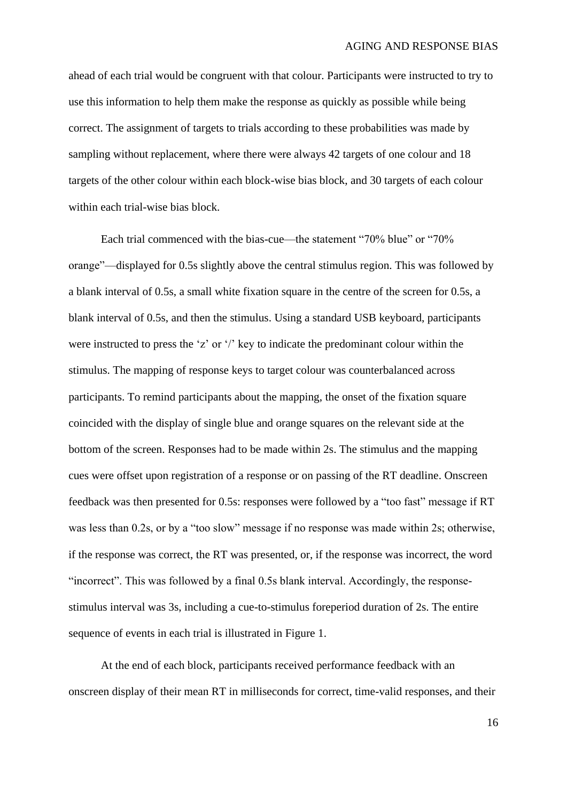ahead of each trial would be congruent with that colour. Participants were instructed to try to use this information to help them make the response as quickly as possible while being correct. The assignment of targets to trials according to these probabilities was made by sampling without replacement, where there were always 42 targets of one colour and 18 targets of the other colour within each block-wise bias block, and 30 targets of each colour within each trial-wise bias block.

Each trial commenced with the bias-cue—the statement "70% blue" or "70% orange"—displayed for 0.5s slightly above the central stimulus region. This was followed by a blank interval of 0.5s, a small white fixation square in the centre of the screen for 0.5s, a blank interval of 0.5s, and then the stimulus. Using a standard USB keyboard, participants were instructed to press the 'z' or '/' key to indicate the predominant colour within the stimulus. The mapping of response keys to target colour was counterbalanced across participants. To remind participants about the mapping, the onset of the fixation square coincided with the display of single blue and orange squares on the relevant side at the bottom of the screen. Responses had to be made within 2s. The stimulus and the mapping cues were offset upon registration of a response or on passing of the RT deadline. Onscreen feedback was then presented for 0.5s: responses were followed by a "too fast" message if RT was less than 0.2s, or by a "too slow" message if no response was made within 2s; otherwise, if the response was correct, the RT was presented, or, if the response was incorrect, the word "incorrect". This was followed by a final 0.5s blank interval. Accordingly, the responsestimulus interval was 3s, including a cue-to-stimulus foreperiod duration of 2s. The entire sequence of events in each trial is illustrated in [Figure 1.](#page-14-0)

At the end of each block, participants received performance feedback with an onscreen display of their mean RT in milliseconds for correct, time-valid responses, and their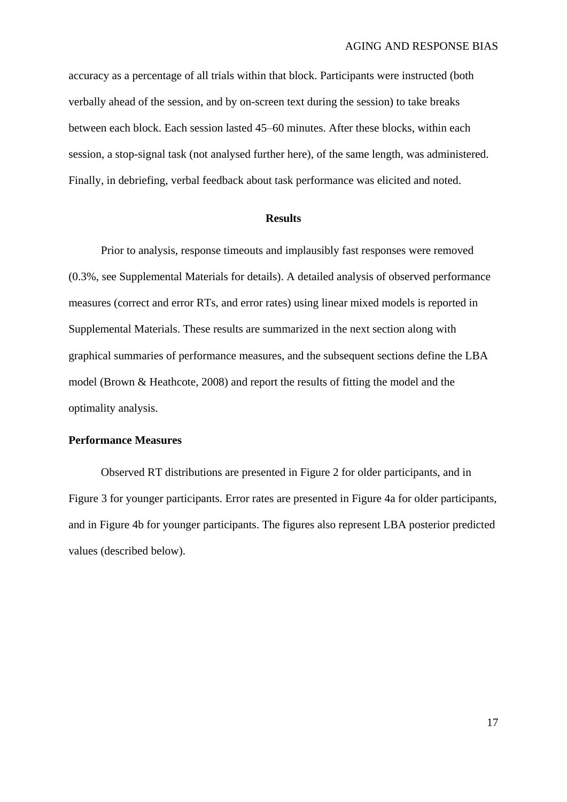accuracy as a percentage of all trials within that block. Participants were instructed (both verbally ahead of the session, and by on-screen text during the session) to take breaks between each block. Each session lasted 45–60 minutes. After these blocks, within each session, a stop-signal task (not analysed further here), of the same length, was administered. Finally, in debriefing, verbal feedback about task performance was elicited and noted.

## **Results**

Prior to analysis, response timeouts and implausibly fast responses were removed (0.3%, see Supplemental Materials for details). A detailed analysis of observed performance measures (correct and error RTs, and error rates) using linear mixed models is reported in Supplemental Materials. These results are summarized in the next section along with graphical summaries of performance measures, and the subsequent sections define the LBA model (Brown & Heathcote, 2008) and report the results of fitting the model and the optimality analysis.

#### **Performance Measures**

Observed RT distributions are presented in [Figure 2](#page-17-0) for older participants, and in [Figure 3](#page-18-0) for younger participants. Error rates are presented in [Figure 4a](#page-19-0) for older participants, and in [Figure 4b](#page-19-0) for younger participants. The figures also represent LBA posterior predicted values (described below).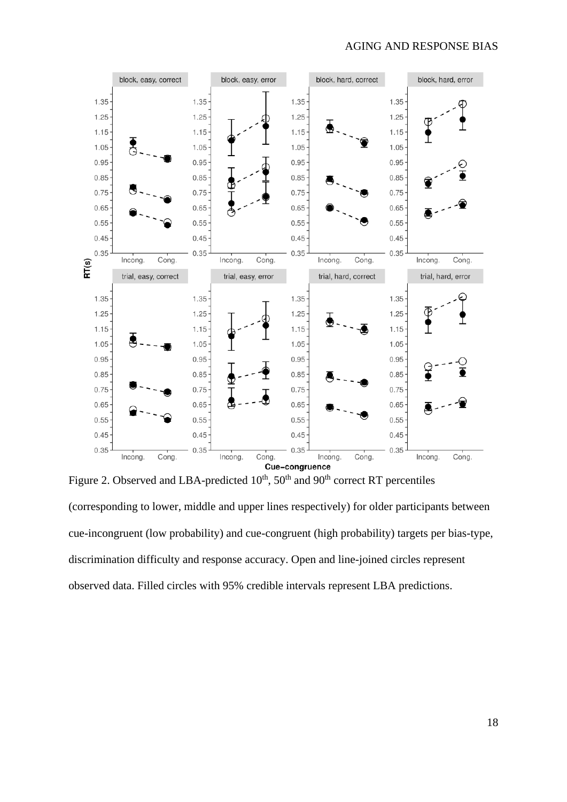

<span id="page-17-0"></span>Figure 2. Observed and LBA-predicted  $10^{th}$ ,  $50^{th}$  and  $90^{th}$  correct RT percentiles (corresponding to lower, middle and upper lines respectively) for older participants between cue-incongruent (low probability) and cue-congruent (high probability) targets per bias-type, discrimination difficulty and response accuracy. Open and line-joined circles represent observed data. Filled circles with 95% credible intervals represent LBA predictions.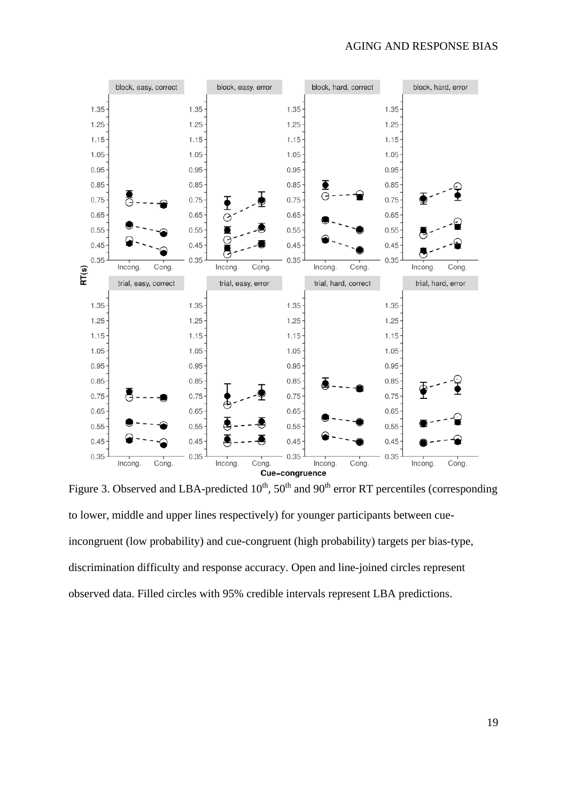

<span id="page-18-0"></span>Figure 3. Observed and LBA-predicted  $10^{th}$ ,  $50^{th}$  and  $90^{th}$  error RT percentiles (corresponding to lower, middle and upper lines respectively) for younger participants between cueincongruent (low probability) and cue-congruent (high probability) targets per bias-type, discrimination difficulty and response accuracy. Open and line-joined circles represent observed data. Filled circles with 95% credible intervals represent LBA predictions.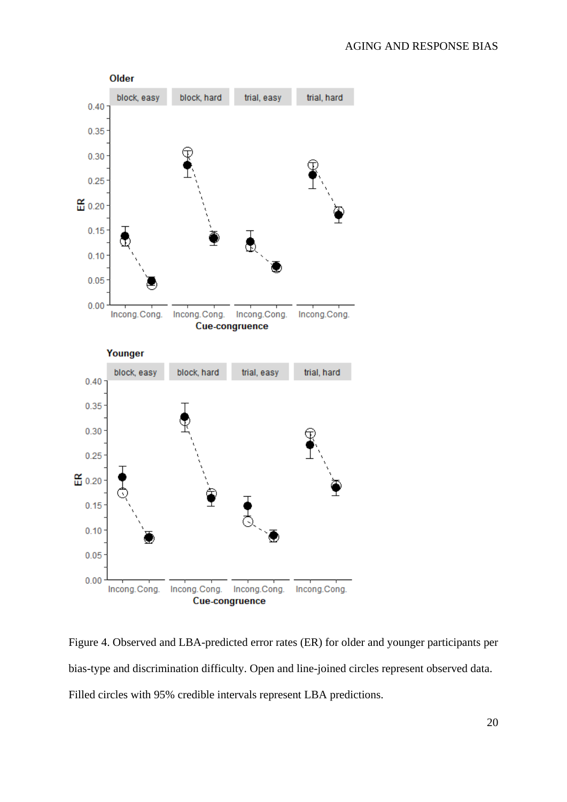

<span id="page-19-0"></span>Figure 4. Observed and LBA-predicted error rates (ER) for older and younger participants per bias-type and discrimination difficulty. Open and line-joined circles represent observed data. Filled circles with 95% credible intervals represent LBA predictions.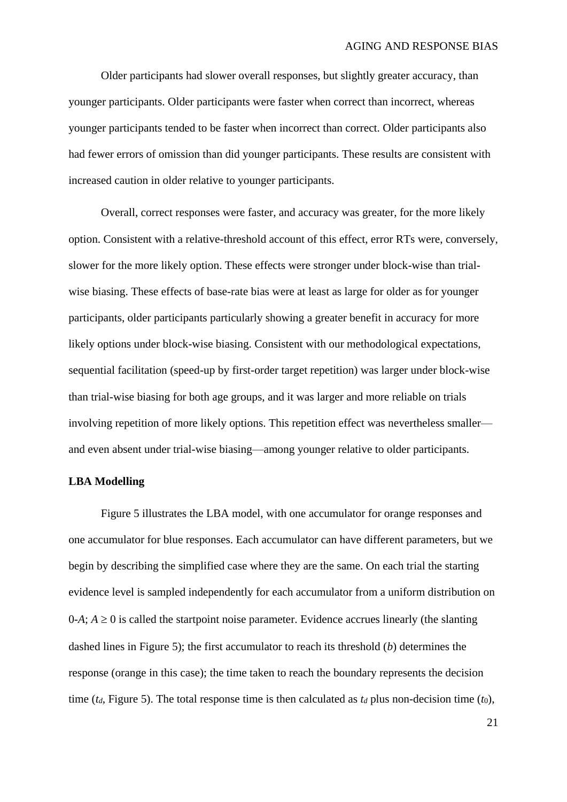Older participants had slower overall responses, but slightly greater accuracy, than younger participants. Older participants were faster when correct than incorrect, whereas younger participants tended to be faster when incorrect than correct. Older participants also had fewer errors of omission than did younger participants. These results are consistent with increased caution in older relative to younger participants.

Overall, correct responses were faster, and accuracy was greater, for the more likely option. Consistent with a relative-threshold account of this effect, error RTs were, conversely, slower for the more likely option. These effects were stronger under block-wise than trialwise biasing. These effects of base-rate bias were at least as large for older as for younger participants, older participants particularly showing a greater benefit in accuracy for more likely options under block-wise biasing. Consistent with our methodological expectations, sequential facilitation (speed-up by first-order target repetition) was larger under block-wise than trial-wise biasing for both age groups, and it was larger and more reliable on trials involving repetition of more likely options. This repetition effect was nevertheless smaller and even absent under trial-wise biasing—among younger relative to older participants.

#### **LBA Modelling**

[Figure 5](#page-21-0) illustrates the LBA model, with one accumulator for orange responses and one accumulator for blue responses. Each accumulator can have different parameters, but we begin by describing the simplified case where they are the same. On each trial the starting evidence level is sampled independently for each accumulator from a uniform distribution on  $0-A$ ;  $A \ge 0$  is called the startpoint noise parameter. Evidence accrues linearly (the slanting dashed lines in [Figure 5\)](#page-21-0); the first accumulator to reach its threshold (*b*) determines the response (orange in this case); the time taken to reach the boundary represents the decision time ( $t_d$ , [Figure 5\)](#page-21-0). The total response time is then calculated as  $t_d$  plus non-decision time ( $t_0$ ),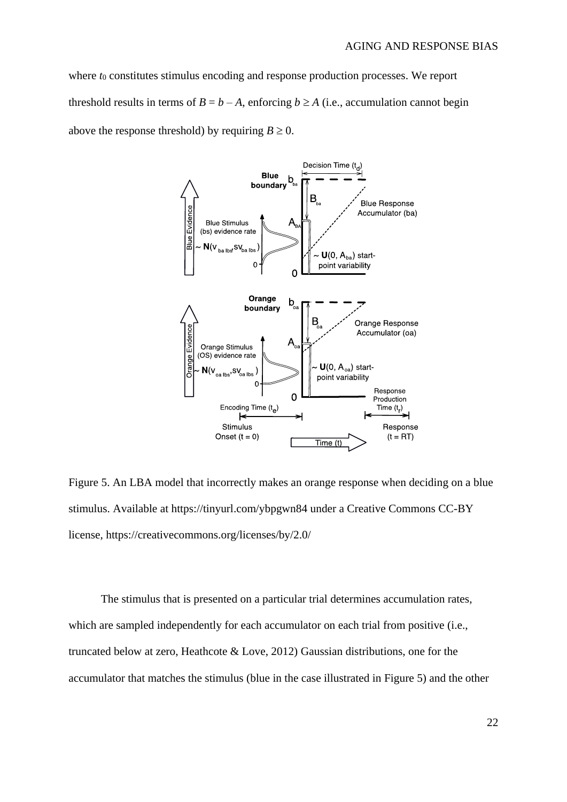where *t*<sub>0</sub> constitutes stimulus encoding and response production processes. We report threshold results in terms of  $B = b - A$ , enforcing  $b \ge A$  (i.e., accumulation cannot begin above the response threshold) by requiring  $B \ge 0$ .



<span id="page-21-0"></span>Figure 5. An LBA model that incorrectly makes an orange response when deciding on a blue stimulus. Available at https://tinyurl.com/ybpgwn84 under a Creative Commons CC-BY license, https://creativecommons.org/licenses/by/2.0/

The stimulus that is presented on a particular trial determines accumulation rates, which are sampled independently for each accumulator on each trial from positive (i.e., truncated below at zero, Heathcote & Love, 2012) Gaussian distributions, one for the accumulator that matches the stimulus (blue in the case illustrated in [Figure 5\)](#page-21-0) and the other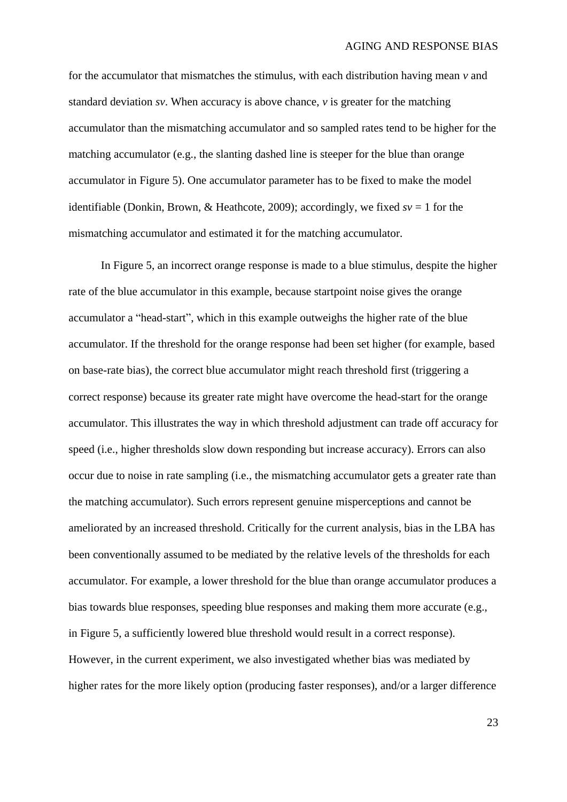for the accumulator that mismatches the stimulus, with each distribution having mean *v* and standard deviation *sv*. When accuracy is above chance,  $\nu$  is greater for the matching accumulator than the mismatching accumulator and so sampled rates tend to be higher for the matching accumulator (e.g., the slanting dashed line is steeper for the blue than orange accumulator in [Figure 5\)](#page-21-0). One accumulator parameter has to be fixed to make the model identifiable (Donkin, Brown, & Heathcote, 2009); accordingly, we fixed  $sv = 1$  for the mismatching accumulator and estimated it for the matching accumulator.

In [Figure 5,](#page-21-0) an incorrect orange response is made to a blue stimulus, despite the higher rate of the blue accumulator in this example, because startpoint noise gives the orange accumulator a "head-start", which in this example outweighs the higher rate of the blue accumulator. If the threshold for the orange response had been set higher (for example, based on base-rate bias), the correct blue accumulator might reach threshold first (triggering a correct response) because its greater rate might have overcome the head-start for the orange accumulator. This illustrates the way in which threshold adjustment can trade off accuracy for speed (i.e., higher thresholds slow down responding but increase accuracy). Errors can also occur due to noise in rate sampling (i.e., the mismatching accumulator gets a greater rate than the matching accumulator). Such errors represent genuine misperceptions and cannot be ameliorated by an increased threshold. Critically for the current analysis, bias in the LBA has been conventionally assumed to be mediated by the relative levels of the thresholds for each accumulator. For example, a lower threshold for the blue than orange accumulator produces a bias towards blue responses, speeding blue responses and making them more accurate (e.g., in Figure 5, a sufficiently lowered blue threshold would result in a correct response). However, in the current experiment, we also investigated whether bias was mediated by higher rates for the more likely option (producing faster responses), and/or a larger difference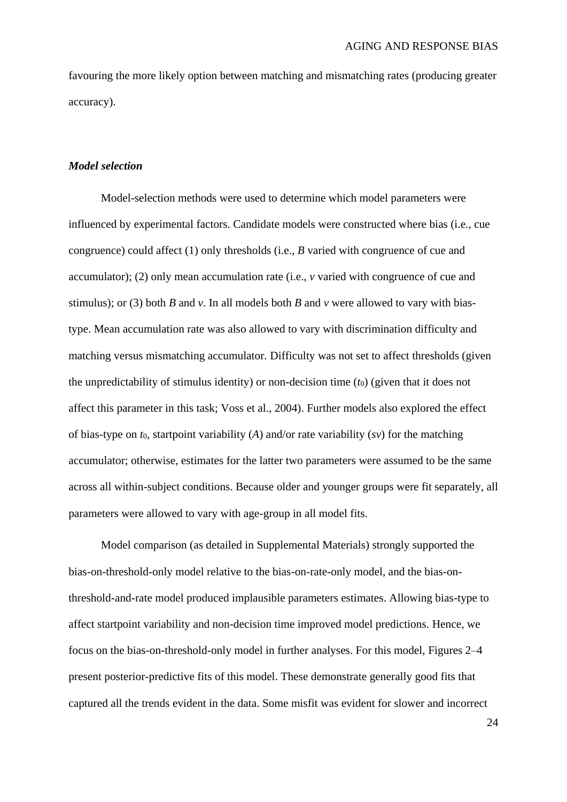favouring the more likely option between matching and mismatching rates (producing greater accuracy).

### *Model selection*

Model-selection methods were used to determine which model parameters were influenced by experimental factors. Candidate models were constructed where bias (i.e., cue congruence) could affect (1) only thresholds (i.e., *B* varied with congruence of cue and accumulator); (2) only mean accumulation rate (i.e., *v* varied with congruence of cue and stimulus); or (3) both *B* and *v*. In all models both *B* and *v* were allowed to vary with biastype. Mean accumulation rate was also allowed to vary with discrimination difficulty and matching versus mismatching accumulator. Difficulty was not set to affect thresholds (given the unpredictability of stimulus identity) or non-decision time (*t*0) (given that it does not affect this parameter in this task; Voss et al., 2004). Further models also explored the effect of bias-type on *t*0, startpoint variability (*A*) and/or rate variability (*sv*) for the matching accumulator; otherwise, estimates for the latter two parameters were assumed to be the same across all within-subject conditions. Because older and younger groups were fit separately, all parameters were allowed to vary with age-group in all model fits.

Model comparison (as detailed in Supplemental Materials) strongly supported the bias-on-threshold-only model relative to the bias-on-rate-only model, and the bias-onthreshold-and-rate model produced implausible parameters estimates. Allowing bias-type to affect startpoint variability and non-decision time improved model predictions. Hence, we focus on the bias-on-threshold-only model in further analyses. For this model, Figures 2–4 present posterior-predictive fits of this model. These demonstrate generally good fits that captured all the trends evident in the data. Some misfit was evident for slower and incorrect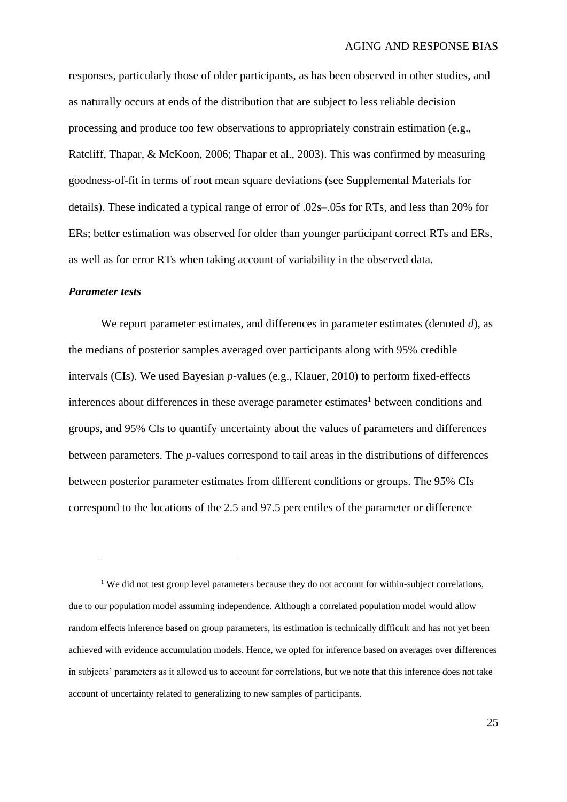responses, particularly those of older participants, as has been observed in other studies, and as naturally occurs at ends of the distribution that are subject to less reliable decision processing and produce too few observations to appropriately constrain estimation (e.g., Ratcliff, Thapar, & McKoon, 2006; Thapar et al., 2003). This was confirmed by measuring goodness-of-fit in terms of root mean square deviations (see Supplemental Materials for details). These indicated a typical range of error of .02s–.05s for RTs, and less than 20% for ERs; better estimation was observed for older than younger participant correct RTs and ERs, as well as for error RTs when taking account of variability in the observed data.

#### *Parameter tests*

 $\overline{a}$ 

We report parameter estimates, and differences in parameter estimates (denoted *d*), as the medians of posterior samples averaged over participants along with 95% credible intervals (CIs). We used Bayesian *p*-values (e.g., Klauer, 2010) to perform fixed-effects inferences about differences in these average parameter estimates<sup>1</sup> between conditions and groups, and 95% CIs to quantify uncertainty about the values of parameters and differences between parameters. The *p*-values correspond to tail areas in the distributions of differences between posterior parameter estimates from different conditions or groups. The 95% CIs correspond to the locations of the 2.5 and 97.5 percentiles of the parameter or difference

<sup>&</sup>lt;sup>1</sup> We did not test group level parameters because they do not account for within-subject correlations, due to our population model assuming independence. Although a correlated population model would allow random effects inference based on group parameters, its estimation is technically difficult and has not yet been achieved with evidence accumulation models. Hence, we opted for inference based on averages over differences in subjects' parameters as it allowed us to account for correlations, but we note that this inference does not take account of uncertainty related to generalizing to new samples of participants.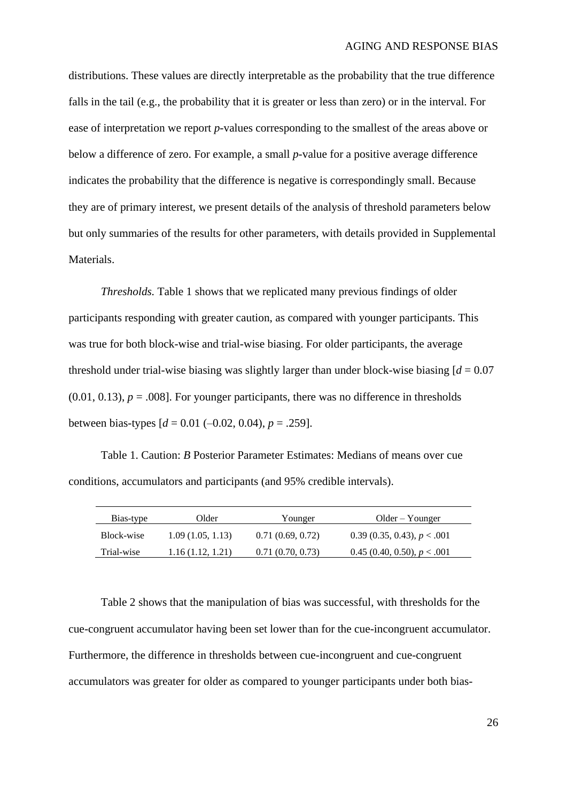distributions. These values are directly interpretable as the probability that the true difference falls in the tail (e.g., the probability that it is greater or less than zero) or in the interval. For ease of interpretation we report *p*-values corresponding to the smallest of the areas above or below a difference of zero. For example, a small *p*-value for a positive average difference indicates the probability that the difference is negative is correspondingly small. Because they are of primary interest, we present details of the analysis of threshold parameters below but only summaries of the results for other parameters, with details provided in Supplemental Materials.

*Thresholds.* Table 1 shows that we replicated many previous findings of older participants responding with greater caution, as compared with younger participants. This was true for both block-wise and trial-wise biasing. For older participants, the average threshold under trial-wise biasing was slightly larger than under block-wise biasing  $d = 0.07$  $(0.01, 0.13)$ ,  $p = .008$ ]. For younger participants, there was no difference in thresholds between bias-types  $[d = 0.01 (-0.02, 0.04), p = .259]$ .

Table 1. Caution: *B* Posterior Parameter Estimates: Medians of means over cue conditions, accumulators and participants (and 95% credible intervals).

| Bias-type  | Older            | Younger          | $Older - Younger$             |
|------------|------------------|------------------|-------------------------------|
| Block-wise | 1.09(1.05, 1.13) | 0.71(0.69, 0.72) | 0.39 (0.35, 0.43), $p < .001$ |
| Trial-wise | 1.16(1.12, 1.21) | 0.71(0.70, 0.73) | 0.45 (0.40, 0.50), $p < .001$ |

Table 2 shows that the manipulation of bias was successful, with thresholds for the cue-congruent accumulator having been set lower than for the cue-incongruent accumulator. Furthermore, the difference in thresholds between cue-incongruent and cue-congruent accumulators was greater for older as compared to younger participants under both bias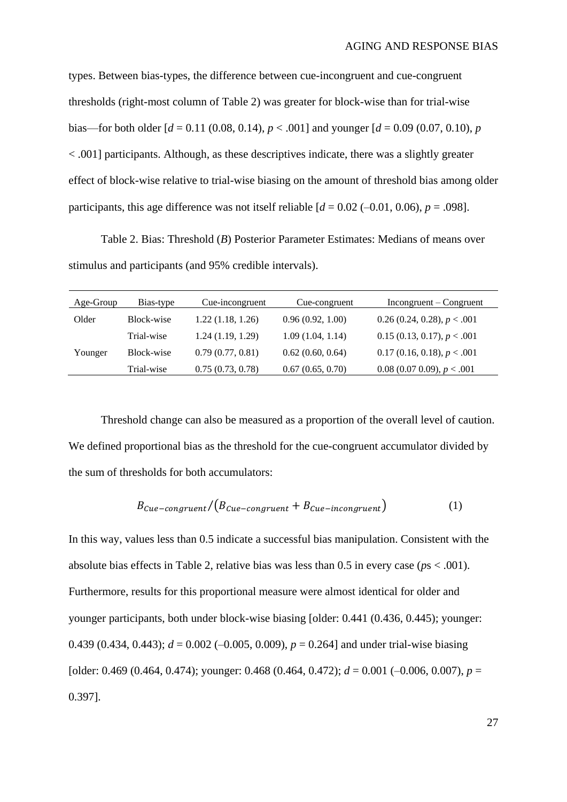types. Between bias-types, the difference between cue-incongruent and cue-congruent thresholds (right-most column of Table 2) was greater for block-wise than for trial-wise bias—for both older  $d = 0.11$  (0.08, 0.14),  $p < .001$  and younger  $d = 0.09$  (0.07, 0.10), *p*  $\langle 0.001]$  participants. Although, as these descriptives indicate, there was a slightly greater effect of block-wise relative to trial-wise biasing on the amount of threshold bias among older participants, this age difference was not itself reliable  $d = 0.02$  (-0.01, 0.06),  $p = .098$ ].

Table 2. Bias: Threshold (*B*) Posterior Parameter Estimates: Medians of means over stimulus and participants (and 95% credible intervals).

| Age-Group | Bias-type  | Cue-incongruent  | Cue-congruent    | $Incongruent - Congruent$       |
|-----------|------------|------------------|------------------|---------------------------------|
| Older     | Block-wise | 1.22(1.18, 1.26) | 0.96(0.92, 1.00) | $0.26$ (0.24, 0.28), $p < .001$ |
|           | Trial-wise | 1.24(1.19, 1.29) | 1.09(1.04, 1.14) | 0.15(0.13, 0.17), p < .001      |
| Younger   | Block-wise | 0.79(0.77, 0.81) | 0.62(0.60, 0.64) | $0.17$ (0.16, 0.18), $p < .001$ |
|           | Trial-wise | 0.75(0.73, 0.78) | 0.67(0.65, 0.70) | $0.08$ (0.07 0.09), $p < .001$  |

Threshold change can also be measured as a proportion of the overall level of caution. We defined proportional bias as the threshold for the cue-congruent accumulator divided by the sum of thresholds for both accumulators:

$$
B_{\text{Cue-congruent}} / (B_{\text{Cue-congruent}} + B_{\text{Cue-incongruent}}) \tag{1}
$$

In this way, values less than 0.5 indicate a successful bias manipulation. Consistent with the absolute bias effects in Table 2, relative bias was less than 0.5 in every case (*p*s < .001). Furthermore, results for this proportional measure were almost identical for older and younger participants, both under block-wise biasing [older: 0.441 (0.436, 0.445); younger: 0.439 (0.434, 0.443);  $d = 0.002$  (-0.005, 0.009),  $p = 0.264$ ] and under trial-wise biasing [older: 0.469 (0.464, 0.474); younger: 0.468 (0.464, 0.472);  $d = 0.001$  (-0.006, 0.007),  $p =$ 0.397].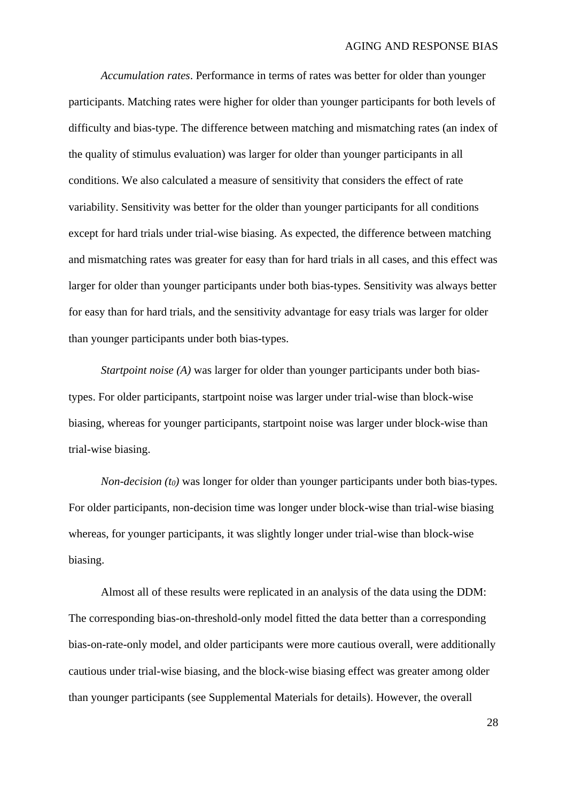*Accumulation rates*. Performance in terms of rates was better for older than younger participants. Matching rates were higher for older than younger participants for both levels of difficulty and bias-type. The difference between matching and mismatching rates (an index of the quality of stimulus evaluation) was larger for older than younger participants in all conditions. We also calculated a measure of sensitivity that considers the effect of rate variability. Sensitivity was better for the older than younger participants for all conditions except for hard trials under trial-wise biasing. As expected, the difference between matching and mismatching rates was greater for easy than for hard trials in all cases, and this effect was larger for older than younger participants under both bias-types. Sensitivity was always better for easy than for hard trials, and the sensitivity advantage for easy trials was larger for older than younger participants under both bias-types.

*Startpoint noise (A)* was larger for older than younger participants under both biastypes. For older participants, startpoint noise was larger under trial-wise than block-wise biasing, whereas for younger participants, startpoint noise was larger under block-wise than trial-wise biasing.

*Non-decision (t0)* was longer for older than younger participants under both bias-types. For older participants, non-decision time was longer under block-wise than trial-wise biasing whereas, for younger participants, it was slightly longer under trial-wise than block-wise biasing.

Almost all of these results were replicated in an analysis of the data using the DDM: The corresponding bias-on-threshold-only model fitted the data better than a corresponding bias-on-rate-only model, and older participants were more cautious overall, were additionally cautious under trial-wise biasing, and the block-wise biasing effect was greater among older than younger participants (see Supplemental Materials for details). However, the overall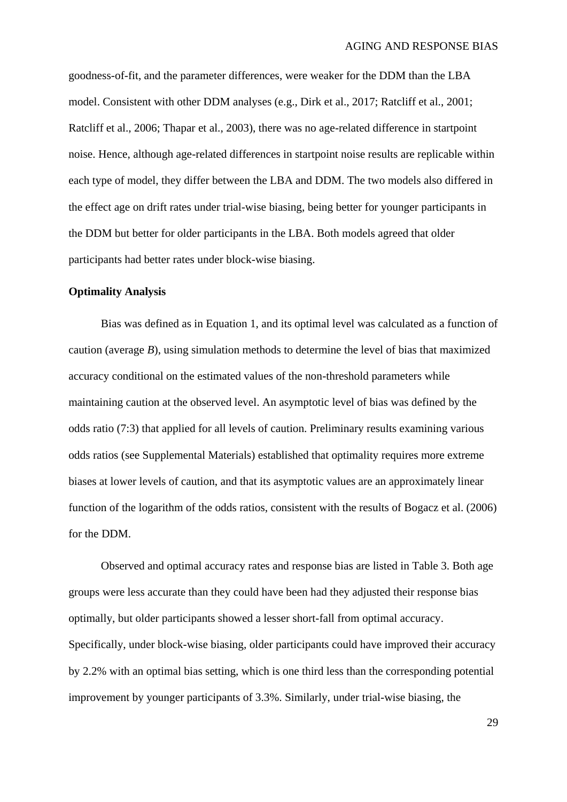goodness-of-fit, and the parameter differences, were weaker for the DDM than the LBA model. Consistent with other DDM analyses (e.g., Dirk et al., 2017; Ratcliff et al., 2001; Ratcliff et al., 2006; Thapar et al., 2003), there was no age-related difference in startpoint noise. Hence, although age-related differences in startpoint noise results are replicable within each type of model, they differ between the LBA and DDM. The two models also differed in the effect age on drift rates under trial-wise biasing, being better for younger participants in the DDM but better for older participants in the LBA. Both models agreed that older participants had better rates under block-wise biasing.

#### **Optimality Analysis**

Bias was defined as in Equation 1, and its optimal level was calculated as a function of caution (average *B*), using simulation methods to determine the level of bias that maximized accuracy conditional on the estimated values of the non-threshold parameters while maintaining caution at the observed level. An asymptotic level of bias was defined by the odds ratio (7:3) that applied for all levels of caution. Preliminary results examining various odds ratios (see Supplemental Materials) established that optimality requires more extreme biases at lower levels of caution, and that its asymptotic values are an approximately linear function of the logarithm of the odds ratios, consistent with the results of Bogacz et al. (2006) for the DDM.

Observed and optimal accuracy rates and response bias are listed in Table 3. Both age groups were less accurate than they could have been had they adjusted their response bias optimally, but older participants showed a lesser short-fall from optimal accuracy. Specifically, under block-wise biasing, older participants could have improved their accuracy by 2.2% with an optimal bias setting, which is one third less than the corresponding potential improvement by younger participants of 3.3%. Similarly, under trial-wise biasing, the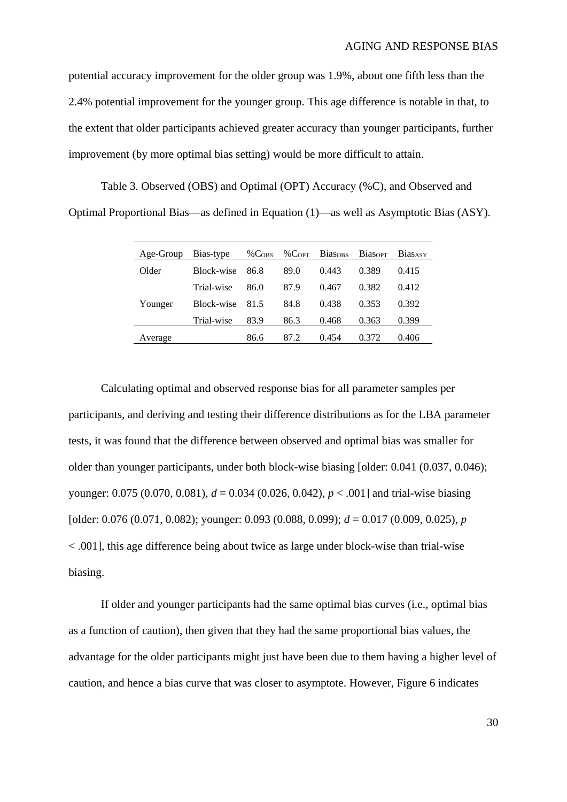potential accuracy improvement for the older group was 1.9%, about one fifth less than the 2.4% potential improvement for the younger group. This age difference is notable in that, to the extent that older participants achieved greater accuracy than younger participants, further improvement (by more optimal bias setting) would be more difficult to attain.

<span id="page-29-0"></span>Table 3. Observed (OBS) and Optimal (OPT) Accuracy (%C), and Observed and Optimal Proportional Bias—as defined in Equation (1)—as well as Asymptotic Bias (ASY).

| Age-Group | Bias-type  | %C <sub>OBS</sub> | $\%$ C <sub>OPT</sub> | <b>Biasons</b> | <b>Biasopt</b> | <b>Bias</b> ASY |
|-----------|------------|-------------------|-----------------------|----------------|----------------|-----------------|
| Older     | Block-wise | 86.8              | 89.0                  | 0.443          | 0.389          | 0.415           |
|           | Trial-wise | 86.0              | 87.9                  | 0.467          | 0.382          | 0.412           |
| Younger   | Block-wise | 81.5              | 84.8                  | 0.438          | 0.353          | 0.392           |
|           | Trial-wise | 83.9              | 86.3                  | 0.468          | 0.363          | 0.399           |
| Average   |            | 86.6              | 87.2                  | 0.454          | 0.372          | 0.406           |

Calculating optimal and observed response bias for all parameter samples per participants, and deriving and testing their difference distributions as for the LBA parameter tests, it was found that the difference between observed and optimal bias was smaller for older than younger participants, under both block-wise biasing [older: 0.041 (0.037, 0.046); younger: 0.075 (0.070, 0.081), *d* = 0.034 (0.026, 0.042), *p* < .001] and trial-wise biasing [older: 0.076 (0.071, 0.082); younger: 0.093 (0.088, 0.099); *d* = 0.017 (0.009, 0.025), *p* < .001], this age difference being about twice as large under block-wise than trial-wise biasing.

If older and younger participants had the same optimal bias curves (i.e., optimal bias as a function of caution), then given that they had the same proportional bias values, the advantage for the older participants might just have been due to them having a higher level of caution, and hence a bias curve that was closer to asymptote. However, [Figure 6](#page-30-0) indicates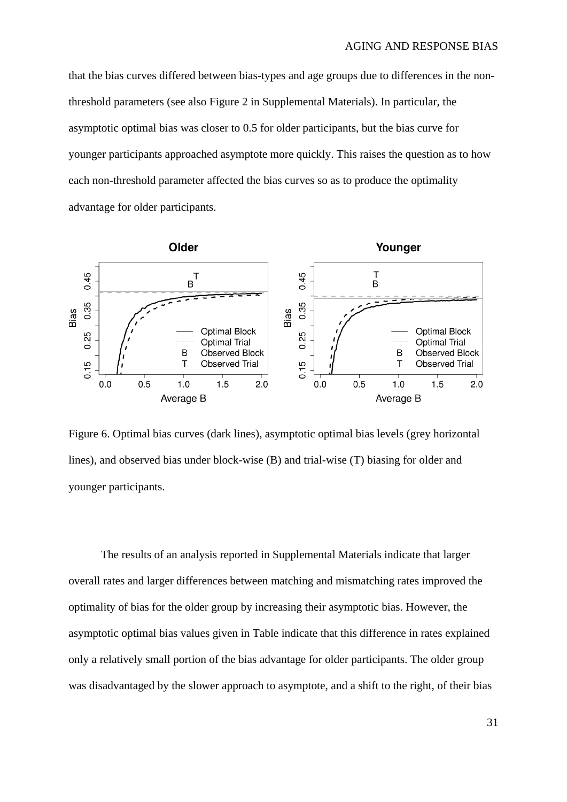that the bias curves differed between bias-types and age groups due to differences in the nonthreshold parameters (see also Figure 2 in Supplemental Materials). In particular, the asymptotic optimal bias was closer to 0.5 for older participants, but the bias curve for younger participants approached asymptote more quickly. This raises the question as to how each non-threshold parameter affected the bias curves so as to produce the optimality advantage for older participants.



<span id="page-30-0"></span>Figure 6. Optimal bias curves (dark lines), asymptotic optimal bias levels (grey horizontal lines), and observed bias under block-wise (B) and trial-wise (T) biasing for older and younger participants.

The results of an analysis reported in Supplemental Materials indicate that larger overall rates and larger differences between matching and mismatching rates improved the optimality of bias for the older group by increasing their asymptotic bias. However, the asymptotic optimal bias values given in [Table](#page-29-0) indicate that this difference in rates explained only a relatively small portion of the bias advantage for older participants. The older group was disadvantaged by the slower approach to asymptote, and a shift to the right, of their bias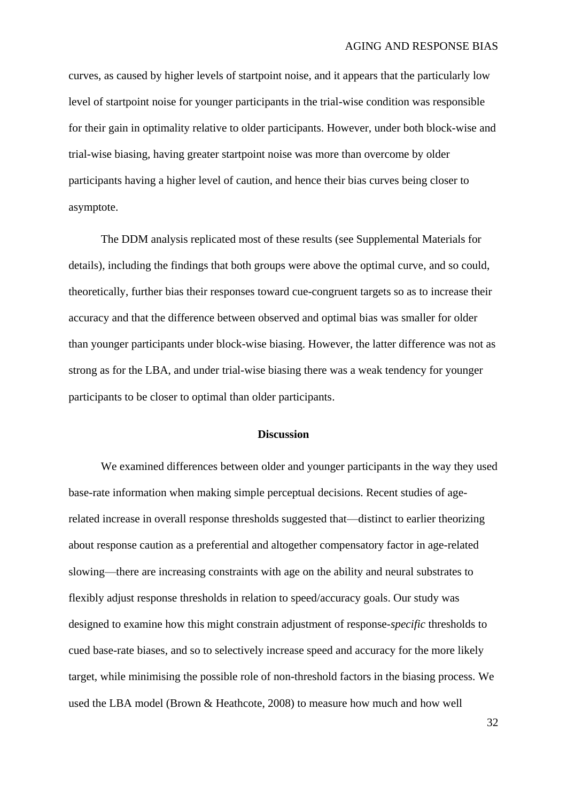curves, as caused by higher levels of startpoint noise, and it appears that the particularly low level of startpoint noise for younger participants in the trial-wise condition was responsible for their gain in optimality relative to older participants. However, under both block-wise and trial-wise biasing, having greater startpoint noise was more than overcome by older participants having a higher level of caution, and hence their bias curves being closer to asymptote.

The DDM analysis replicated most of these results (see Supplemental Materials for details), including the findings that both groups were above the optimal curve, and so could, theoretically, further bias their responses toward cue-congruent targets so as to increase their accuracy and that the difference between observed and optimal bias was smaller for older than younger participants under block-wise biasing. However, the latter difference was not as strong as for the LBA, and under trial-wise biasing there was a weak tendency for younger participants to be closer to optimal than older participants.

### **Discussion**

We examined differences between older and younger participants in the way they used base-rate information when making simple perceptual decisions. Recent studies of agerelated increase in overall response thresholds suggested that—distinct to earlier theorizing about response caution as a preferential and altogether compensatory factor in age-related slowing—there are increasing constraints with age on the ability and neural substrates to flexibly adjust response thresholds in relation to speed/accuracy goals. Our study was designed to examine how this might constrain adjustment of response-*specific* thresholds to cued base-rate biases, and so to selectively increase speed and accuracy for the more likely target, while minimising the possible role of non-threshold factors in the biasing process. We used the LBA model (Brown & Heathcote, 2008) to measure how much and how well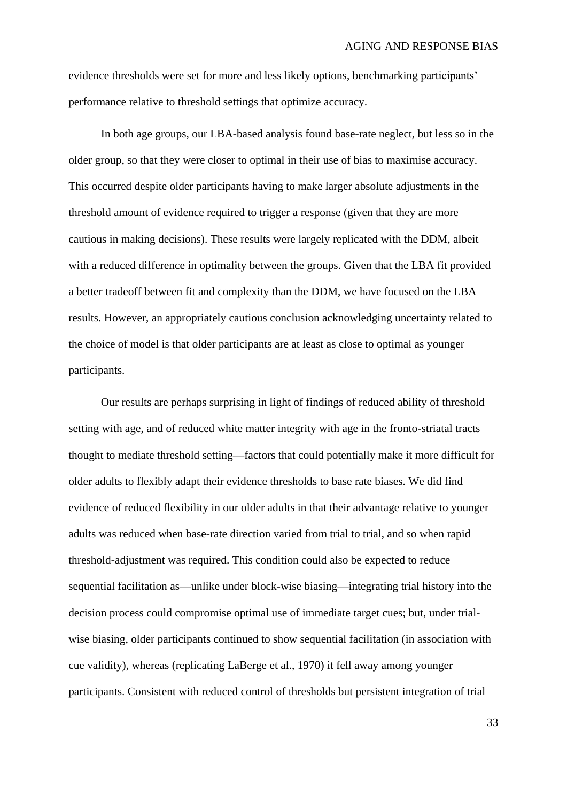evidence thresholds were set for more and less likely options, benchmarking participants' performance relative to threshold settings that optimize accuracy.

In both age groups, our LBA-based analysis found base-rate neglect, but less so in the older group, so that they were closer to optimal in their use of bias to maximise accuracy. This occurred despite older participants having to make larger absolute adjustments in the threshold amount of evidence required to trigger a response (given that they are more cautious in making decisions). These results were largely replicated with the DDM, albeit with a reduced difference in optimality between the groups. Given that the LBA fit provided a better tradeoff between fit and complexity than the DDM, we have focused on the LBA results. However, an appropriately cautious conclusion acknowledging uncertainty related to the choice of model is that older participants are at least as close to optimal as younger participants.

Our results are perhaps surprising in light of findings of reduced ability of threshold setting with age, and of reduced white matter integrity with age in the fronto-striatal tracts thought to mediate threshold setting—factors that could potentially make it more difficult for older adults to flexibly adapt their evidence thresholds to base rate biases. We did find evidence of reduced flexibility in our older adults in that their advantage relative to younger adults was reduced when base-rate direction varied from trial to trial, and so when rapid threshold-adjustment was required. This condition could also be expected to reduce sequential facilitation as—unlike under block-wise biasing—integrating trial history into the decision process could compromise optimal use of immediate target cues; but, under trialwise biasing, older participants continued to show sequential facilitation (in association with cue validity), whereas (replicating LaBerge et al., 1970) it fell away among younger participants. Consistent with reduced control of thresholds but persistent integration of trial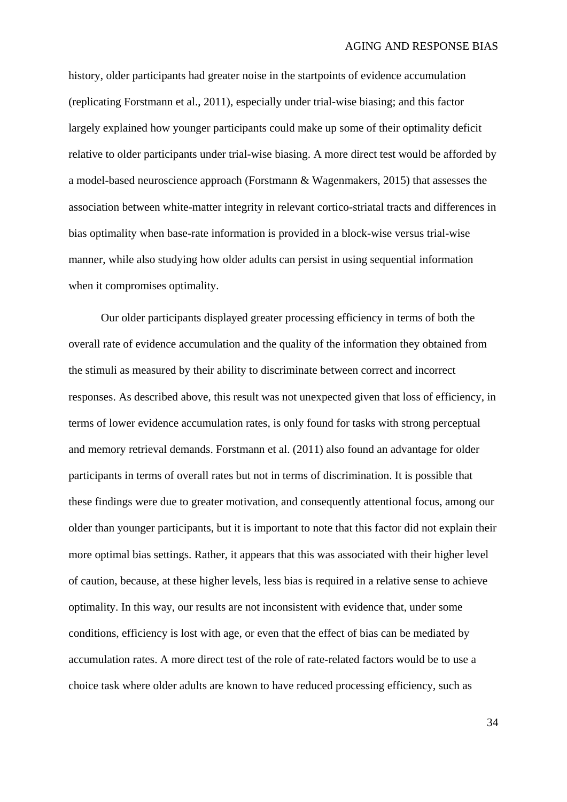history, older participants had greater noise in the startpoints of evidence accumulation (replicating Forstmann et al., 2011), especially under trial-wise biasing; and this factor largely explained how younger participants could make up some of their optimality deficit relative to older participants under trial-wise biasing. A more direct test would be afforded by a model-based neuroscience approach (Forstmann & Wagenmakers, 2015) that assesses the association between white-matter integrity in relevant cortico-striatal tracts and differences in bias optimality when base-rate information is provided in a block-wise versus trial-wise manner, while also studying how older adults can persist in using sequential information when it compromises optimality.

Our older participants displayed greater processing efficiency in terms of both the overall rate of evidence accumulation and the quality of the information they obtained from the stimuli as measured by their ability to discriminate between correct and incorrect responses. As described above, this result was not unexpected given that loss of efficiency, in terms of lower evidence accumulation rates, is only found for tasks with strong perceptual and memory retrieval demands. Forstmann et al. (2011) also found an advantage for older participants in terms of overall rates but not in terms of discrimination. It is possible that these findings were due to greater motivation, and consequently attentional focus, among our older than younger participants, but it is important to note that this factor did not explain their more optimal bias settings. Rather, it appears that this was associated with their higher level of caution, because, at these higher levels, less bias is required in a relative sense to achieve optimality. In this way, our results are not inconsistent with evidence that, under some conditions, efficiency is lost with age, or even that the effect of bias can be mediated by accumulation rates. A more direct test of the role of rate-related factors would be to use a choice task where older adults are known to have reduced processing efficiency, such as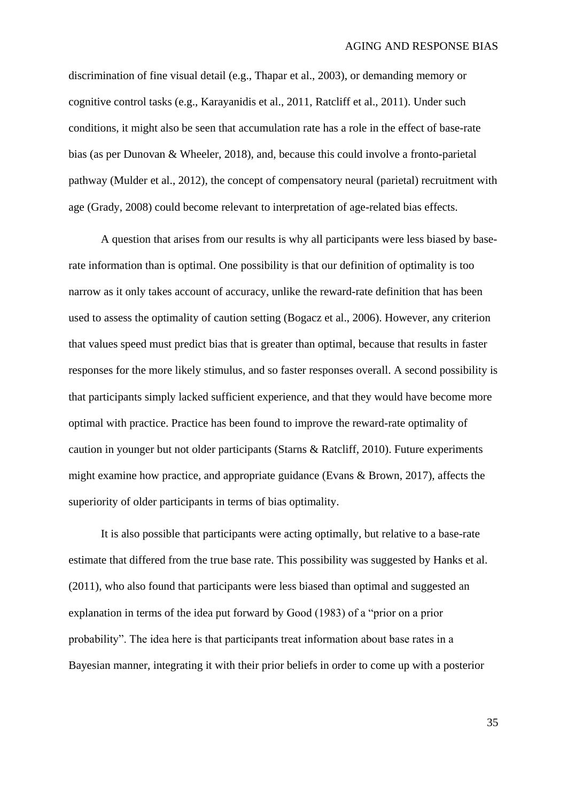discrimination of fine visual detail (e.g., Thapar et al., 2003), or demanding memory or cognitive control tasks (e.g., Karayanidis et al., 2011, Ratcliff et al., 2011). Under such conditions, it might also be seen that accumulation rate has a role in the effect of base-rate bias (as per Dunovan & Wheeler, 2018), and, because this could involve a fronto-parietal pathway (Mulder et al., 2012), the concept of compensatory neural (parietal) recruitment with age (Grady, 2008) could become relevant to interpretation of age-related bias effects.

A question that arises from our results is why all participants were less biased by baserate information than is optimal. One possibility is that our definition of optimality is too narrow as it only takes account of accuracy, unlike the reward-rate definition that has been used to assess the optimality of caution setting (Bogacz et al., 2006). However, any criterion that values speed must predict bias that is greater than optimal, because that results in faster responses for the more likely stimulus, and so faster responses overall. A second possibility is that participants simply lacked sufficient experience, and that they would have become more optimal with practice. Practice has been found to improve the reward-rate optimality of caution in younger but not older participants (Starns & Ratcliff, 2010). Future experiments might examine how practice, and appropriate guidance (Evans & Brown, 2017), affects the superiority of older participants in terms of bias optimality.

It is also possible that participants were acting optimally, but relative to a base-rate estimate that differed from the true base rate. This possibility was suggested by Hanks et al. (2011), who also found that participants were less biased than optimal and suggested an explanation in terms of the idea put forward by Good (1983) of a "prior on a prior probability". The idea here is that participants treat information about base rates in a Bayesian manner, integrating it with their prior beliefs in order to come up with a posterior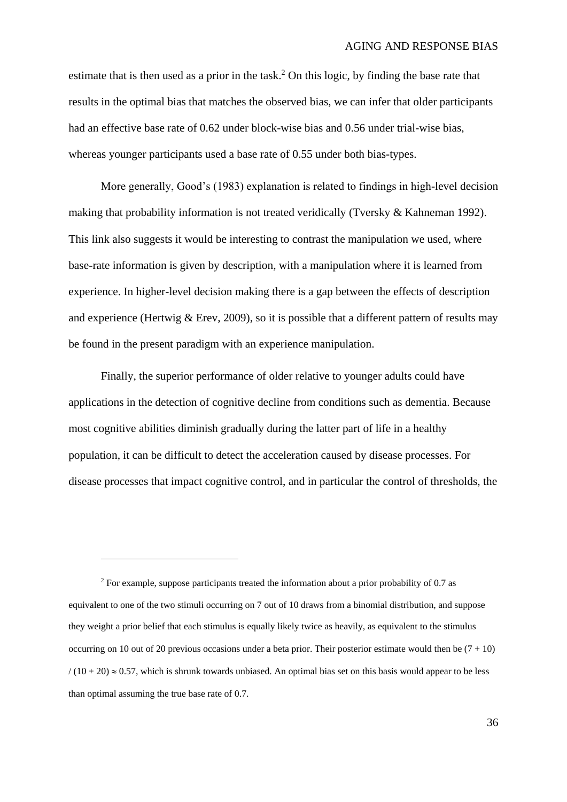estimate that is then used as a prior in the task.<sup>2</sup> On this logic, by finding the base rate that results in the optimal bias that matches the observed bias, we can infer that older participants had an effective base rate of 0.62 under block-wise bias and 0.56 under trial-wise bias, whereas younger participants used a base rate of 0.55 under both bias-types.

More generally, Good's (1983) explanation is related to findings in high-level decision making that probability information is not treated veridically (Tversky & Kahneman 1992). This link also suggests it would be interesting to contrast the manipulation we used, where base-rate information is given by description, with a manipulation where it is learned from experience. In higher-level decision making there is a gap between the effects of description and experience (Hertwig  $&$  Erev, 2009), so it is possible that a different pattern of results may be found in the present paradigm with an experience manipulation.

Finally, the superior performance of older relative to younger adults could have applications in the detection of cognitive decline from conditions such as dementia. Because most cognitive abilities diminish gradually during the latter part of life in a healthy population, it can be difficult to detect the acceleration caused by disease processes. For disease processes that impact cognitive control, and in particular the control of thresholds, the

 $\overline{a}$ 

<sup>&</sup>lt;sup>2</sup> For example, suppose participants treated the information about a prior probability of 0.7 as equivalent to one of the two stimuli occurring on 7 out of 10 draws from a binomial distribution, and suppose they weight a prior belief that each stimulus is equally likely twice as heavily, as equivalent to the stimulus occurring on 10 out of 20 previous occasions under a beta prior. Their posterior estimate would then be  $(7 + 10)$  $/(10 + 20) \approx 0.57$ , which is shrunk towards unbiased. An optimal bias set on this basis would appear to be less than optimal assuming the true base rate of 0.7.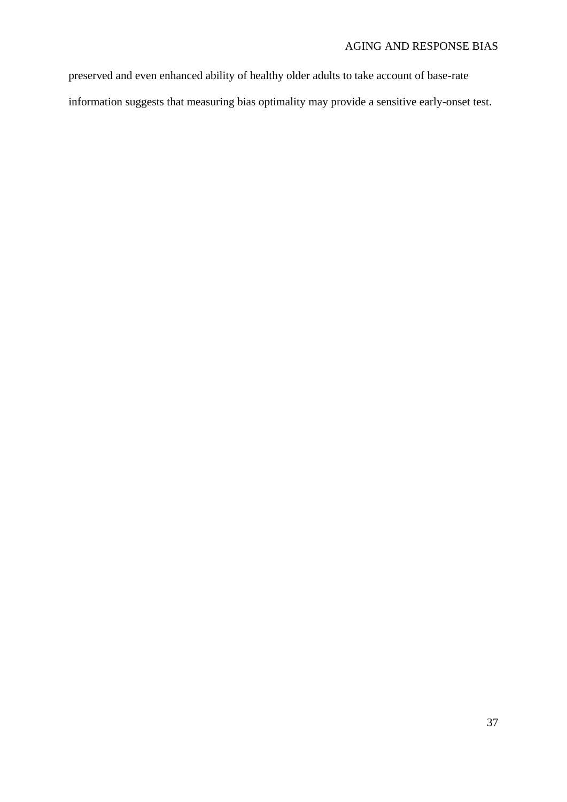preserved and even enhanced ability of healthy older adults to take account of base-rate information suggests that measuring bias optimality may provide a sensitive early-onset test.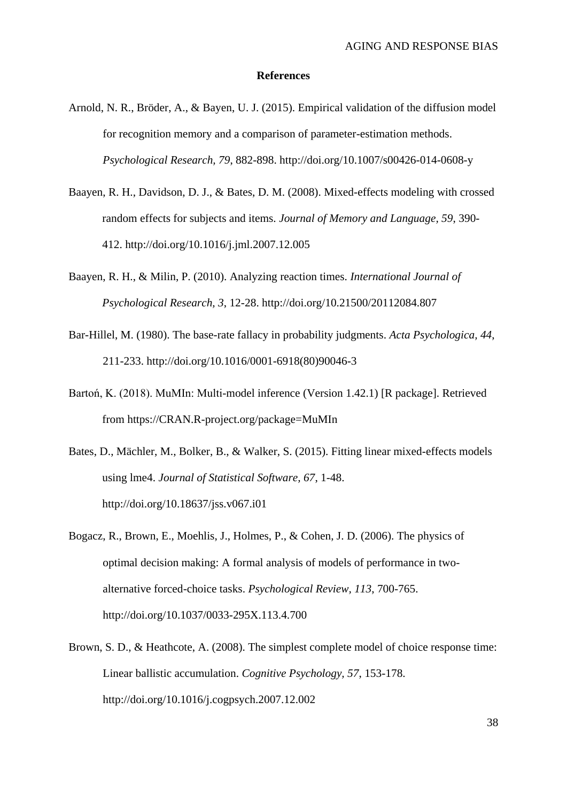#### **References**

- Arnold, N. R., Bröder, A., & Bayen, U. J. (2015). Empirical validation of the diffusion model for recognition memory and a comparison of parameter-estimation methods. *Psychological Research, 79*, 882-898. http://doi.org/10.1007/s00426-014-0608-y
- Baayen, R. H., Davidson, D. J., & Bates, D. M. (2008). Mixed-effects modeling with crossed random effects for subjects and items. *Journal of Memory and Language, 59*, 390- 412. http://doi.org/10.1016/j.jml.2007.12.005
- Baayen, R. H., & Milin, P. (2010). Analyzing reaction times. *International Journal of Psychological Research, 3*, 12-28. http://doi.org/10.21500/20112084.807
- Bar-Hillel, M. (1980). The base-rate fallacy in probability judgments. *Acta Psychologica, 44*, 211-233. http://doi.org/10.1016/0001-6918(80)90046-3
- Bartoń, K. (2018). MuMIn: Multi-model inference (Version 1.42.1) [R package]. Retrieved from https://CRAN.R-project.org/package=MuMIn
- Bates, D., Mächler, M., Bolker, B., & Walker, S. (2015). Fitting linear mixed-effects models using lme4. *Journal of Statistical Software, 67*, 1-48. http://doi.org/10.18637/jss.v067.i01
- Bogacz, R., Brown, E., Moehlis, J., Holmes, P., & Cohen, J. D. (2006). The physics of optimal decision making: A formal analysis of models of performance in twoalternative forced-choice tasks. *Psychological Review, 113*, 700-765. http://doi.org/10.1037/0033-295X.113.4.700
- Brown, S. D., & Heathcote, A. (2008). The simplest complete model of choice response time: Linear ballistic accumulation. *Cognitive Psychology, 57*, 153-178. http://doi.org/10.1016/j.cogpsych.2007.12.002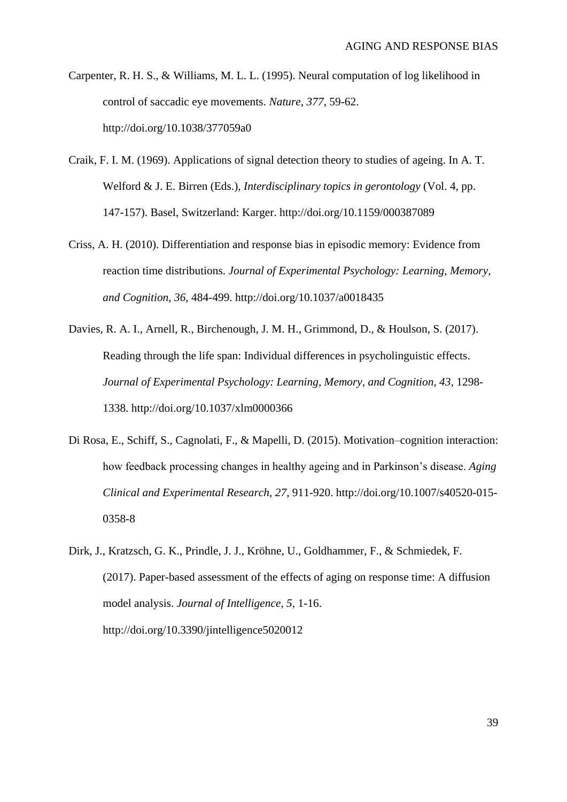- Carpenter, R. H. S., & Williams, M. L. L. (1995). Neural computation of log likelihood in control of saccadic eye movements. *Nature, 377*, 59-62. http://doi.org/10.1038/377059a0
- Craik, F. I. M. (1969). Applications of signal detection theory to studies of ageing. In A. T. Welford & J. E. Birren (Eds.), *Interdisciplinary topics in gerontology* (Vol. 4, pp. 147-157). Basel, Switzerland: Karger. http://doi.org/10.1159/000387089
- Criss, A. H. (2010). Differentiation and response bias in episodic memory: Evidence from reaction time distributions. *Journal of Experimental Psychology: Learning, Memory, and Cognition, 36*, 484-499. http://doi.org/10.1037/a0018435
- Davies, R. A. I., Arnell, R., Birchenough, J. M. H., Grimmond, D., & Houlson, S. (2017). Reading through the life span: Individual differences in psycholinguistic effects. *Journal of Experimental Psychology: Learning, Memory, and Cognition, 43*, 1298- 1338. http://doi.org/10.1037/xlm0000366
- Di Rosa, E., Schiff, S., Cagnolati, F., & Mapelli, D. (2015). Motivation–cognition interaction: how feedback processing changes in healthy ageing and in Parkinson's disease. *Aging Clinical and Experimental Research, 27*, 911-920. http://doi.org/10.1007/s40520-015- 0358-8
- Dirk, J., Kratzsch, G. K., Prindle, J. J., Kröhne, U., Goldhammer, F., & Schmiedek, F. (2017). Paper-based assessment of the effects of aging on response time: A diffusion model analysis. *Journal of Intelligence, 5*, 1-16. http://doi.org/10.3390/jintelligence5020012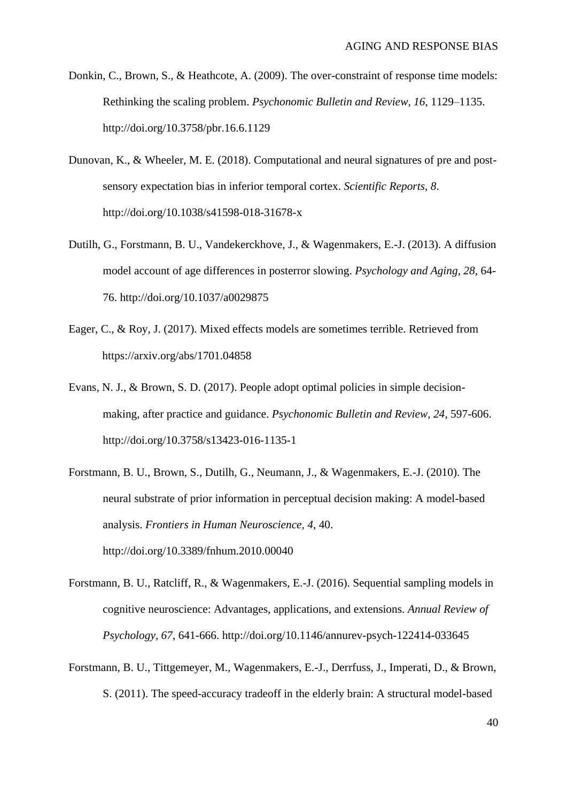- Donkin, C., Brown, S., & Heathcote, A. (2009). The over-constraint of response time models: Rethinking the scaling problem. *Psychonomic Bulletin and Review, 16*, 1129–1135. http://doi.org/10.3758/pbr.16.6.1129
- Dunovan, K., & Wheeler, M. E. (2018). Computational and neural signatures of pre and postsensory expectation bias in inferior temporal cortex. *Scientific Reports, 8*. http://doi.org/10.1038/s41598-018-31678-x
- Dutilh, G., Forstmann, B. U., Vandekerckhove, J., & Wagenmakers, E.-J. (2013). A diffusion model account of age differences in posterror slowing. *Psychology and Aging, 28*, 64- 76. http://doi.org/10.1037/a0029875
- Eager, C., & Roy, J. (2017). Mixed effects models are sometimes terrible. Retrieved from https://arxiv.org/abs/1701.04858
- Evans, N. J., & Brown, S. D. (2017). People adopt optimal policies in simple decisionmaking, after practice and guidance. *Psychonomic Bulletin and Review, 24*, 597-606. http://doi.org/10.3758/s13423-016-1135-1
- Forstmann, B. U., Brown, S., Dutilh, G., Neumann, J., & Wagenmakers, E.-J. (2010). The neural substrate of prior information in perceptual decision making: A model-based analysis. *Frontiers in Human Neuroscience, 4*, 40. http://doi.org/10.3389/fnhum.2010.00040
- Forstmann, B. U., Ratcliff, R., & Wagenmakers, E.-J. (2016). Sequential sampling models in cognitive neuroscience: Advantages, applications, and extensions. *Annual Review of Psychology, 67*, 641-666. http://doi.org/10.1146/annurev-psych-122414-033645
- Forstmann, B. U., Tittgemeyer, M., Wagenmakers, E.-J., Derrfuss, J., Imperati, D., & Brown, S. (2011). The speed-accuracy tradeoff in the elderly brain: A structural model-based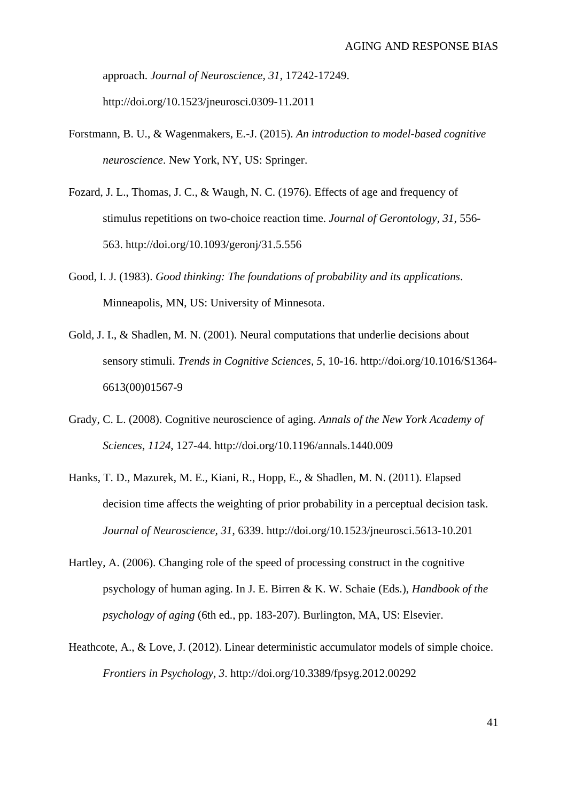approach. *Journal of Neuroscience, 31*, 17242-17249. http://doi.org/10.1523/jneurosci.0309-11.2011

- Forstmann, B. U., & Wagenmakers, E.-J. (2015). *An introduction to model-based cognitive neuroscience*. New York, NY, US: Springer.
- Fozard, J. L., Thomas, J. C., & Waugh, N. C. (1976). Effects of age and frequency of stimulus repetitions on two-choice reaction time. *Journal of Gerontology, 31*, 556- 563. http://doi.org/10.1093/geronj/31.5.556
- Good, I. J. (1983). *Good thinking: The foundations of probability and its applications*. Minneapolis, MN, US: University of Minnesota.
- Gold, J. I., & Shadlen, M. N. (2001). Neural computations that underlie decisions about sensory stimuli. *Trends in Cognitive Sciences, 5*, 10-16. http://doi.org/10.1016/S1364- 6613(00)01567-9
- Grady, C. L. (2008). Cognitive neuroscience of aging. *Annals of the New York Academy of Sciences*, *1124*, 127-44. http://doi.org/10.1196/annals.1440.009
- Hanks, T. D., Mazurek, M. E., Kiani, R., Hopp, E., & Shadlen, M. N. (2011). Elapsed decision time affects the weighting of prior probability in a perceptual decision task. *Journal of Neuroscience, 31*, 6339. http://doi.org/10.1523/jneurosci.5613-10.201
- Hartley, A. (2006). Changing role of the speed of processing construct in the cognitive psychology of human aging. In J. E. Birren & K. W. Schaie (Eds.), *Handbook of the psychology of aging* (6th ed., pp. 183-207). Burlington, MA, US: Elsevier.
- Heathcote, A., & Love, J. (2012). Linear deterministic accumulator models of simple choice. *Frontiers in Psychology, 3*. http://doi.org/10.3389/fpsyg.2012.00292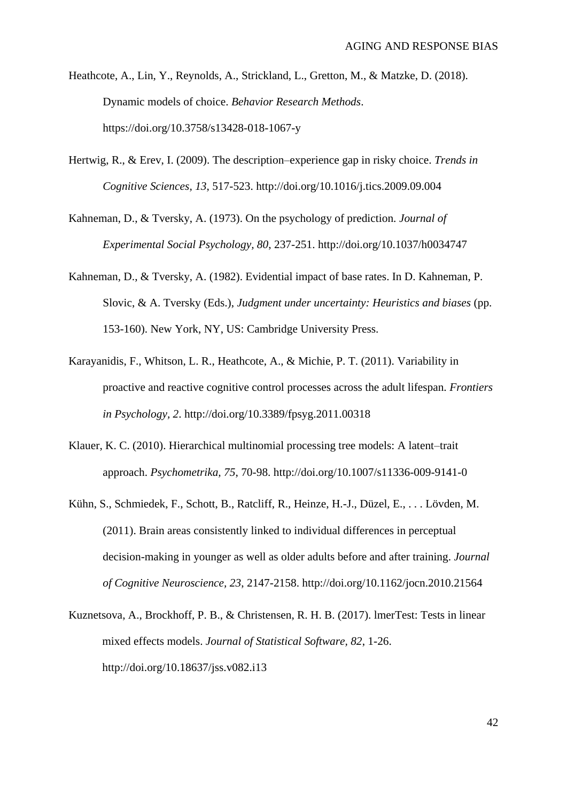- Heathcote, A., Lin, Y., Reynolds, A., Strickland, L., Gretton, M., & Matzke, D. (2018). Dynamic models of choice. *Behavior Research Methods*. https://doi.org/10.3758/s13428-018-1067-y
- Hertwig, R., & Erev, I. (2009). The description–experience gap in risky choice. *Trends in Cognitive Sciences, 13*, 517-523. http://doi.org/10.1016/j.tics.2009.09.004
- Kahneman, D., & Tversky, A. (1973). On the psychology of prediction. *Journal of Experimental Social Psychology, 80*, 237-251. http://doi.org/10.1037/h0034747
- Kahneman, D., & Tversky, A. (1982). Evidential impact of base rates. In D. Kahneman, P. Slovic, & A. Tversky (Eds.), *Judgment under uncertainty: Heuristics and biases* (pp. 153-160). New York, NY, US: Cambridge University Press.
- Karayanidis, F., Whitson, L. R., Heathcote, A., & Michie, P. T. (2011). Variability in proactive and reactive cognitive control processes across the adult lifespan. *Frontiers in Psychology, 2*. http://doi.org/10.3389/fpsyg.2011.00318
- Klauer, K. C. (2010). Hierarchical multinomial processing tree models: A latent–trait approach. *Psychometrika, 75*, 70-98. http://doi.org/10.1007/s11336-009-9141-0
- Kühn, S., Schmiedek, F., Schott, B., Ratcliff, R., Heinze, H.-J., Düzel, E., . . . Lövden, M. (2011). Brain areas consistently linked to individual differences in perceptual decision-making in younger as well as older adults before and after training. *Journal of Cognitive Neuroscience, 23*, 2147-2158. http://doi.org/10.1162/jocn.2010.21564
- Kuznetsova, A., Brockhoff, P. B., & Christensen, R. H. B. (2017). lmerTest: Tests in linear mixed effects models. *Journal of Statistical Software, 82*, 1-26. http://doi.org/10.18637/jss.v082.i13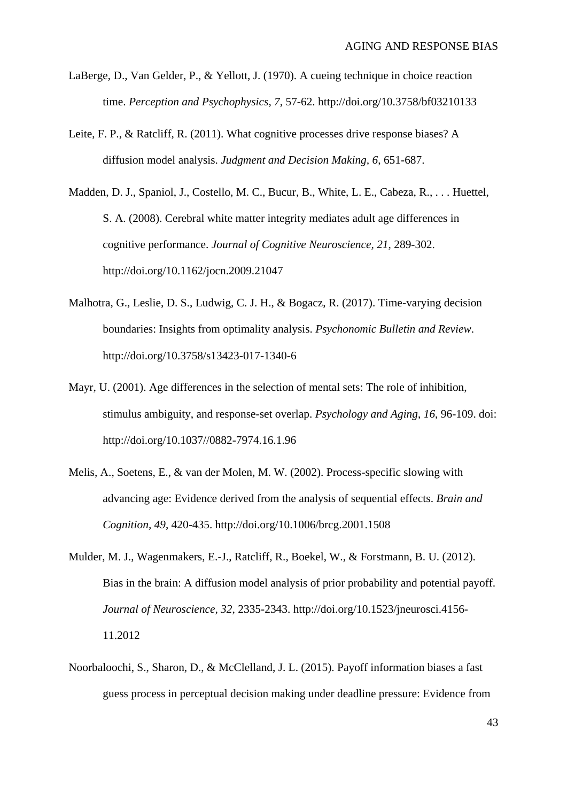- LaBerge, D., Van Gelder, P., & Yellott, J. (1970). A cueing technique in choice reaction time. *Perception and Psychophysics, 7*, 57-62. http://doi.org/10.3758/bf03210133
- Leite, F. P., & Ratcliff, R. (2011). What cognitive processes drive response biases? A diffusion model analysis. *Judgment and Decision Making, 6*, 651-687.
- Madden, D. J., Spaniol, J., Costello, M. C., Bucur, B., White, L. E., Cabeza, R., . . . Huettel, S. A. (2008). Cerebral white matter integrity mediates adult age differences in cognitive performance. *Journal of Cognitive Neuroscience, 21*, 289-302. http://doi.org/10.1162/jocn.2009.21047
- Malhotra, G., Leslie, D. S., Ludwig, C. J. H., & Bogacz, R. (2017). Time-varying decision boundaries: Insights from optimality analysis. *Psychonomic Bulletin and Review*. [http://doi.org/10.3758/s13423-017-1340-6](http://dx.doi.org/10.3758/s13423-017-1340-6)
- Mayr, U. (2001). Age differences in the selection of mental sets: The role of inhibition, stimulus ambiguity, and response-set overlap. *Psychology and Aging*, *16*, 96-109. doi: http://doi.org/10.1037//0882-7974.16.1.96
- Melis, A., Soetens, E., & van der Molen, M. W. (2002). Process-specific slowing with advancing age: Evidence derived from the analysis of sequential effects. *Brain and Cognition, 49*, 420-435. http://doi.org/10.1006/brcg.2001.1508
- Mulder, M. J., Wagenmakers, E.-J., Ratcliff, R., Boekel, W., & Forstmann, B. U. (2012). Bias in the brain: A diffusion model analysis of prior probability and potential payoff. *Journal of Neuroscience, 32*, 2335-2343. http://doi.org/10.1523/jneurosci.4156- 11.2012
- Noorbaloochi, S., Sharon, D., & McClelland, J. L. (2015). Payoff information biases a fast guess process in perceptual decision making under deadline pressure: Evidence from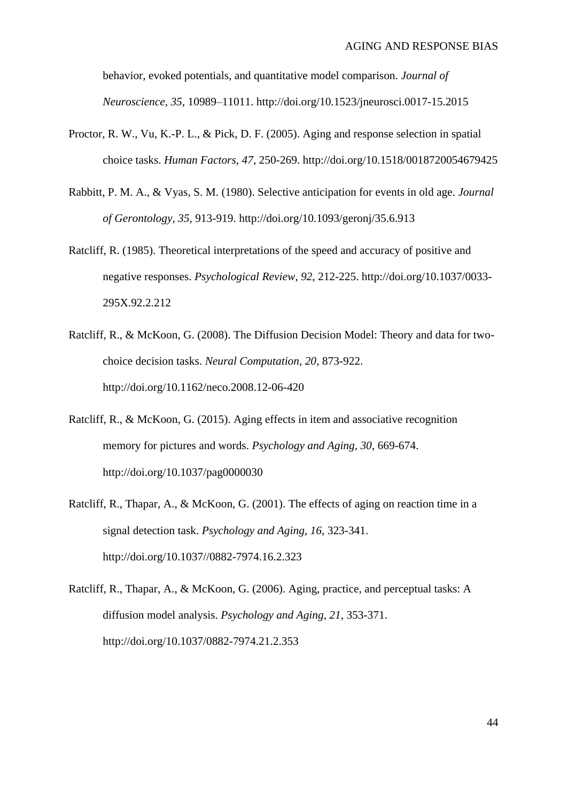behavior, evoked potentials, and quantitative model comparison. *Journal of Neuroscience, 35*, 10989–11011. http://doi.org/10.1523/jneurosci.0017-15.2015

- Proctor, R. W., Vu, K.-P. L., & Pick, D. F. (2005). Aging and response selection in spatial choice tasks. *Human Factors, 47*, 250-269. http://doi.org/10.1518/0018720054679425
- Rabbitt, P. M. A., & Vyas, S. M. (1980). Selective anticipation for events in old age. *Journal of Gerontology, 35*, 913-919. http://doi.org/10.1093/geronj/35.6.913
- Ratcliff, R. (1985). Theoretical interpretations of the speed and accuracy of positive and negative responses. *Psychological Review, 92*, 212-225. http://doi.org/10.1037/0033- 295X.92.2.212
- Ratcliff, R., & McKoon, G. (2008). The Diffusion Decision Model: Theory and data for twochoice decision tasks. *Neural Computation, 20*, 873-922. http://doi.org/10.1162/neco.2008.12-06-420
- Ratcliff, R., & McKoon, G. (2015). Aging effects in item and associative recognition memory for pictures and words. *Psychology and Aging, 30*, 669-674. http://doi.org/10.1037/pag0000030
- Ratcliff, R., Thapar, A., & McKoon, G. (2001). The effects of aging on reaction time in a signal detection task. *Psychology and Aging, 16*, 323-341. http://doi.org/10.1037//0882-7974.16.2.323

Ratcliff, R., Thapar, A., & McKoon, G. (2006). Aging, practice, and perceptual tasks: A diffusion model analysis. *Psychology and Aging, 21*, 353-371. http://doi.org/10.1037/0882-7974.21.2.353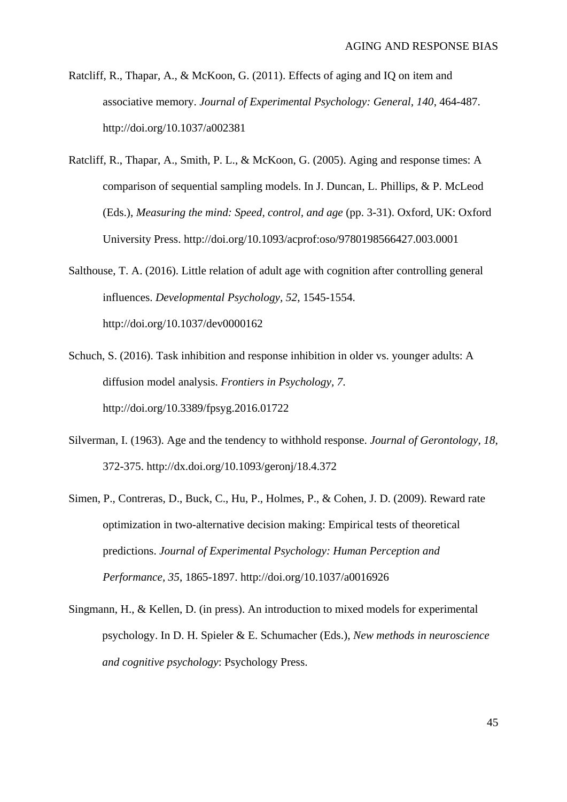- Ratcliff, R., Thapar, A., & McKoon, G. (2011). Effects of aging and IQ on item and associative memory. *Journal of Experimental Psychology: General, 140*, 464-487. http://doi.org/10.1037/a002381
- Ratcliff, R., Thapar, A., Smith, P. L., & McKoon, G. (2005). Aging and response times: A comparison of sequential sampling models. In J. Duncan, L. Phillips, & P. McLeod (Eds.), *Measuring the mind: Speed, control, and age* (pp. 3-31). Oxford, UK: Oxford University Press. http://doi.org/10.1093/acprof:oso/9780198566427.003.0001
- Salthouse, T. A. (2016). Little relation of adult age with cognition after controlling general influences. *Developmental Psychology, 52*, 1545-1554. http://doi.org/10.1037/dev0000162

Schuch, S. (2016). Task inhibition and response inhibition in older vs. younger adults: A diffusion model analysis. *Frontiers in Psychology, 7*. http://doi.org/10.3389/fpsyg.2016.01722

- Silverman, I. (1963). Age and the tendency to withhold response. *Journal of Gerontology, 18*, 372-375. http://dx.doi.org/10.1093/geronj/18.4.372
- Simen, P., Contreras, D., Buck, C., Hu, P., Holmes, P., & Cohen, J. D. (2009). Reward rate optimization in two-alternative decision making: Empirical tests of theoretical predictions. *Journal of Experimental Psychology: Human Perception and Performance, 35*, 1865-1897. http://doi.org/10.1037/a0016926
- Singmann, H., & Kellen, D. (in press). An introduction to mixed models for experimental psychology. In D. H. Spieler & E. Schumacher (Eds.), *New methods in neuroscience and cognitive psychology*: Psychology Press.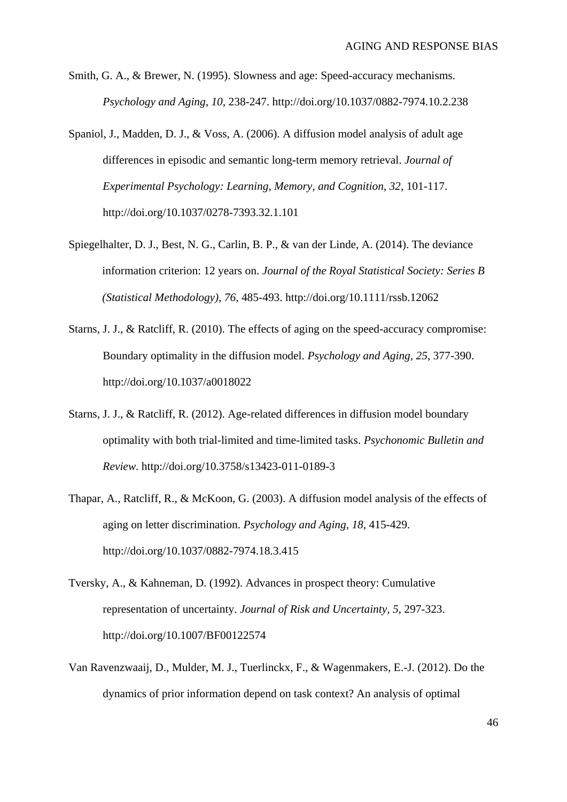- Smith, G. A., & Brewer, N. (1995). Slowness and age: Speed-accuracy mechanisms. *Psychology and Aging, 10*, 238-247. http://doi.org/10.1037/0882-7974.10.2.238
- Spaniol, J., Madden, D. J., & Voss, A. (2006). A diffusion model analysis of adult age differences in episodic and semantic long-term memory retrieval. *Journal of Experimental Psychology: Learning, Memory, and Cognition, 32*, 101-117. http://doi.org/10.1037/0278-7393.32.1.101
- Spiegelhalter, D. J., Best, N. G., Carlin, B. P., & van der Linde, A. (2014). The deviance information criterion: 12 years on. *Journal of the Royal Statistical Society: Series B (Statistical Methodology), 76*, 485-493. http://doi.org/10.1111/rssb.12062
- Starns, J. J., & Ratcliff, R. (2010). The effects of aging on the speed-accuracy compromise: Boundary optimality in the diffusion model. *Psychology and Aging, 25*, 377-390. http://doi.org/10.1037/a0018022
- Starns, J. J., & Ratcliff, R. (2012). Age-related differences in diffusion model boundary optimality with both trial-limited and time-limited tasks. *Psychonomic Bulletin and Review*. http://doi.org/10.3758/s13423-011-0189-3
- Thapar, A., Ratcliff, R., & McKoon, G. (2003). A diffusion model analysis of the effects of aging on letter discrimination. *Psychology and Aging, 18*, 415-429. http://doi.org/10.1037/0882-7974.18.3.415
- Tversky, A., & Kahneman, D. (1992). Advances in prospect theory: Cumulative representation of uncertainty. *Journal of Risk and Uncertainty, 5*, 297-323. http://doi.org/10.1007/BF00122574
- Van Ravenzwaaij, D., Mulder, M. J., Tuerlinckx, F., & Wagenmakers, E.-J. (2012). Do the dynamics of prior information depend on task context? An analysis of optimal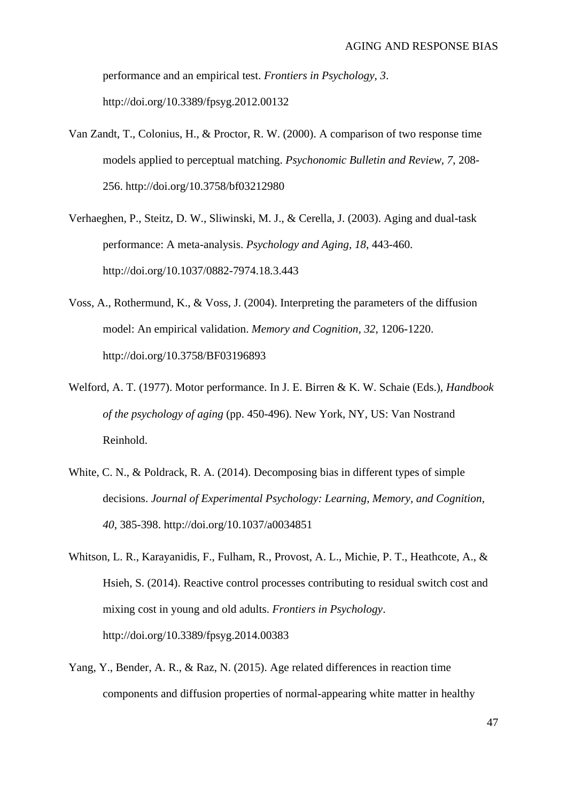performance and an empirical test. *Frontiers in Psychology, 3*. http://doi.org/10.3389/fpsyg.2012.00132

- Van Zandt, T., Colonius, H., & Proctor, R. W. (2000). A comparison of two response time models applied to perceptual matching. *Psychonomic Bulletin and Review, 7*, 208- 256. http://doi.org/10.3758/bf03212980
- Verhaeghen, P., Steitz, D. W., Sliwinski, M. J., & Cerella, J. (2003). Aging and dual-task performance: A meta-analysis. *Psychology and Aging, 18*, 443-460. http://doi.org/10.1037/0882-7974.18.3.443
- Voss, A., Rothermund, K., & Voss, J. (2004). Interpreting the parameters of the diffusion model: An empirical validation. *Memory and Cognition, 32*, 1206-1220. http://doi.org/10.3758/BF03196893
- Welford, A. T. (1977). Motor performance. In J. E. Birren & K. W. Schaie (Eds.), *Handbook of the psychology of aging* (pp. 450-496). New York, NY, US: Van Nostrand Reinhold.
- White, C. N., & Poldrack, R. A. (2014). Decomposing bias in different types of simple decisions. *Journal of Experimental Psychology: Learning, Memory, and Cognition, 40*, 385-398. http://doi.org/10.1037/a0034851
- Whitson, L. R., Karayanidis, F., Fulham, R., Provost, A. L., Michie, P. T., Heathcote, A., & Hsieh, S. (2014). Reactive control processes contributing to residual switch cost and mixing cost in young and old adults. *Frontiers in Psychology*. http://doi.org/10.3389/fpsyg.2014.00383
- Yang, Y., Bender, A. R., & Raz, N. (2015). Age related differences in reaction time components and diffusion properties of normal-appearing white matter in healthy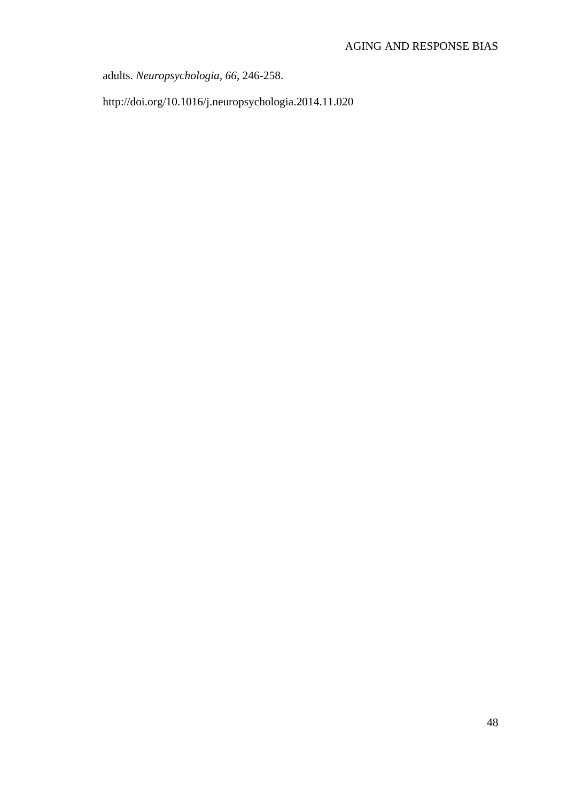adults. *Neuropsychologia, 66*, 246-258.

http://doi.org/10.1016/j.neuropsychologia.2014.11.020